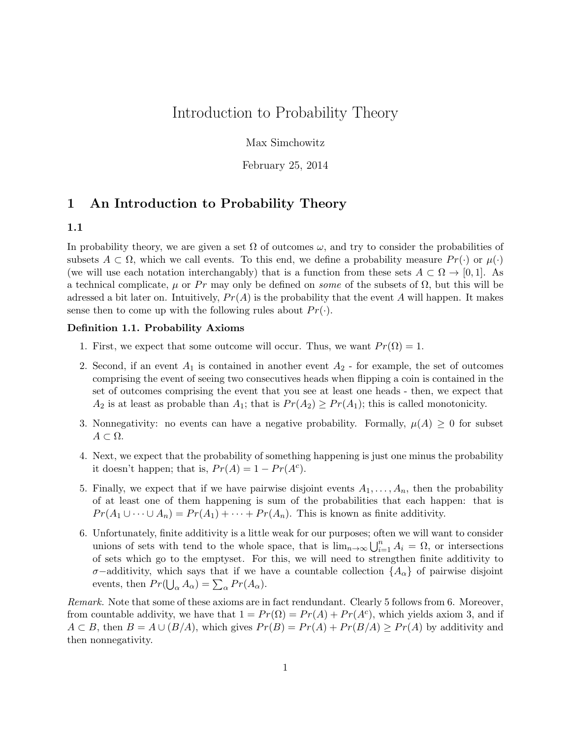# Introduction to Probability Theory

Max Simchowitz

February 25, 2014

## 1 An Introduction to Probability Theory

### 1.1

In probability theory, we are given a set  $\Omega$  of outcomes  $\omega$ , and try to consider the probabilities of subsets  $A \subset \Omega$ , which we call events. To this end, we define a probability measure  $Pr(\cdot)$  or  $\mu(\cdot)$ (we will use each notation interchangably) that is a function from these sets  $A \subset \Omega \to [0,1]$ . As a technical complicate,  $\mu$  or Pr may only be defined on *some* of the subsets of  $\Omega$ , but this will be adressed a bit later on. Intuitively,  $Pr(A)$  is the probability that the event A will happen. It makes sense then to come up with the following rules about  $Pr(\cdot)$ .

### Definition 1.1. Probability Axioms

- 1. First, we expect that some outcome will occur. Thus, we want  $Pr(\Omega) = 1$ .
- 2. Second, if an event  $A_1$  is contained in another event  $A_2$  for example, the set of outcomes comprising the event of seeing two consecutives heads when flipping a coin is contained in the set of outcomes comprising the event that you see at least one heads - then, we expect that  $A_2$  is at least as probable than  $A_1$ ; that is  $Pr(A_2) \geq Pr(A_1)$ ; this is called monotonicity.
- 3. Nonnegativity: no events can have a negative probability. Formally,  $\mu(A) \geq 0$  for subset  $A \subset \Omega$ .
- 4. Next, we expect that the probability of something happening is just one minus the probability it doesn't happen; that is,  $Pr(A) = 1 - Pr(A<sup>c</sup>)$ .
- 5. Finally, we expect that if we have pairwise disjoint events  $A_1, \ldots, A_n$ , then the probability of at least one of them happening is sum of the probabilities that each happen: that is  $Pr(A_1 \cup \cdots \cup A_n) = Pr(A_1) + \cdots + Pr(A_n)$ . This is known as finite additivity.
- 6. Unfortunately, finite additivity is a little weak for our purposes; often we will want to consider unions of sets with tend to the whole space, that is  $\lim_{n\to\infty}\bigcup_{i=1}^n A_i = \Omega$ , or intersections of sets which go to the emptyset. For this, we will need to strengthen finite additivity to  $\sigma$ −additivity, which says that if we have a countable collection  $\{A_{\alpha}\}\$  of pairwise disjoint events, then  $Pr(\bigcup_{\alpha} A_{\alpha}) = \sum_{\alpha} Pr(A_{\alpha}).$

Remark. Note that some of these axioms are in fact rendundant. Clearly 5 follows from 6. Moreover, from countable addivity, we have that  $1 = Pr(\Omega) = Pr(A) + Pr(A^c)$ , which yields axiom 3, and if  $A \subset B$ , then  $B = A \cup (B/A)$ , which gives  $Pr(B) = Pr(A) + Pr(B/A) \geq Pr(A)$  by additivity and then nonnegativity.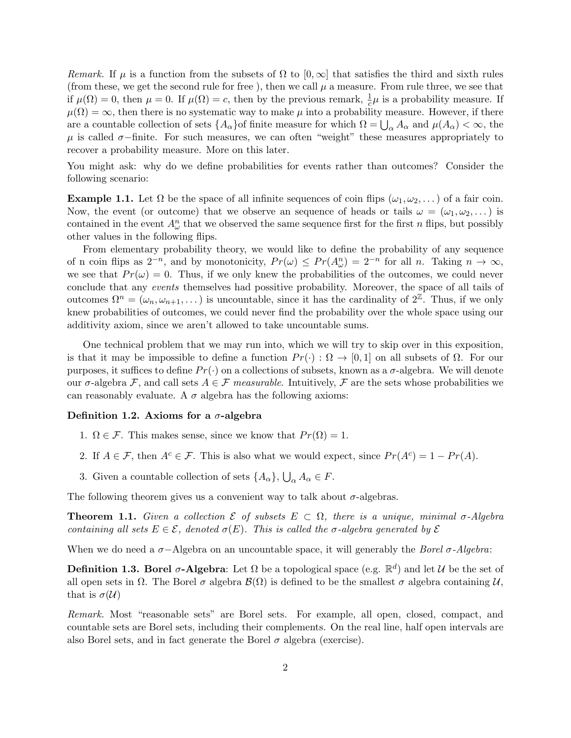Remark. If  $\mu$  is a function from the subsets of  $\Omega$  to  $[0,\infty]$  that satisfies the third and sixth rules (from these, we get the second rule for free), then we call  $\mu$  a measure. From rule three, we see that if  $\mu(\Omega) = 0$ , then  $\mu = 0$ . If  $\mu(\Omega) = c$ , then by the previous remark,  $\frac{1}{c}\mu$  is a probability measure. If  $\mu(\Omega) = \infty$ , then there is no systematic way to make  $\mu$  into a probability measure. However, if there are a countable collection of sets  $\{A_{\alpha}\}$  of finite measure for which  $\Omega = \bigcup_{\alpha} A_{\alpha}$  and  $\mu(A_{\alpha}) < \infty$ , the  $\mu$  is called  $\sigma$ -finite. For such measures, we can often "weight" these measures appropriately to recover a probability measure. More on this later.

You might ask: why do we define probabilities for events rather than outcomes? Consider the following scenario:

**Example 1.1.** Let  $\Omega$  be the space of all infinite sequences of coin flips  $(\omega_1, \omega_2, \dots)$  of a fair coin. Now, the event (or outcome) that we observe an sequence of heads or tails  $\omega = (\omega_1, \omega_2, \dots)$  is contained in the event  $A^n_\omega$  that we observed the same sequence first for the first n flips, but possibly other values in the following flips.

From elementary probability theory, we would like to define the probability of any sequence of n coin flips as  $2^{-n}$ , and by monotonicity,  $Pr(\omega) \leq Pr(A^n_{\omega}) = 2^{-n}$  for all n. Taking  $n \to \infty$ , we see that  $Pr(\omega) = 0$ . Thus, if we only knew the probabilities of the outcomes, we could never conclude that any events themselves had possitive probability. Moreover, the space of all tails of outcomes  $\Omega^n = (\omega_n, \omega_{n+1}, \dots)$  is uncountable, since it has the cardinality of  $2^{\mathbb{Z}}$ . Thus, if we only knew probabilities of outcomes, we could never find the probability over the whole space using our additivity axiom, since we aren't allowed to take uncountable sums.

One technical problem that we may run into, which we will try to skip over in this exposition, is that it may be impossible to define a function  $Pr(\cdot): \Omega \to [0,1]$  on all subsets of  $\Omega$ . For our purposes, it suffices to define  $Pr(\cdot)$  on a collections of subsets, known as a  $\sigma$ -algebra. We will denote our  $\sigma$ -algebra F, and call sets  $A \in \mathcal{F}$  measurable. Intuitively, F are the sets whose probabilities we can reasonably evaluate. A  $\sigma$  algebra has the following axioms:

#### Definition 1.2. Axioms for a  $\sigma$ -algebra

- 1.  $\Omega \in \mathcal{F}$ . This makes sense, since we know that  $Pr(\Omega) = 1$ .
- 2. If  $A \in \mathcal{F}$ , then  $A^c \in \mathcal{F}$ . This is also what we would expect, since  $Pr(A^c) = 1 Pr(A)$ .
- 3. Given a countable collection of sets  $\{A_{\alpha}\}, \bigcup_{\alpha} A_{\alpha} \in F$ .

The following theorem gives us a convenient way to talk about  $\sigma$ -algebras.

**Theorem 1.1.** Given a collection  $\mathcal{E}$  of subsets  $E \subset \Omega$ , there is a unique, minimal  $\sigma$ -Algebra containing all sets  $E \in \mathcal{E}$ , denoted  $\sigma(E)$ . This is called the  $\sigma$ -algebra generated by  $\mathcal{E}$ 

When we do need a  $\sigma$ -Algebra on an uncountable space, it will generably the *Borel*  $\sigma$ -Algebra:

**Definition 1.3. Borel**  $\sigma$ **-Algebra**: Let  $\Omega$  be a topological space (e.g.  $\mathbb{R}^d$ ) and let  $\mathcal U$  be the set of all open sets in  $\Omega$ . The Borel  $\sigma$  algebra  $\mathcal{B}(\Omega)$  is defined to be the smallest  $\sigma$  algebra containing  $\mathcal{U}$ . that is  $\sigma(\mathcal{U})$ 

Remark. Most "reasonable sets" are Borel sets. For example, all open, closed, compact, and countable sets are Borel sets, including their complements. On the real line, half open intervals are also Borel sets, and in fact generate the Borel  $\sigma$  algebra (exercise).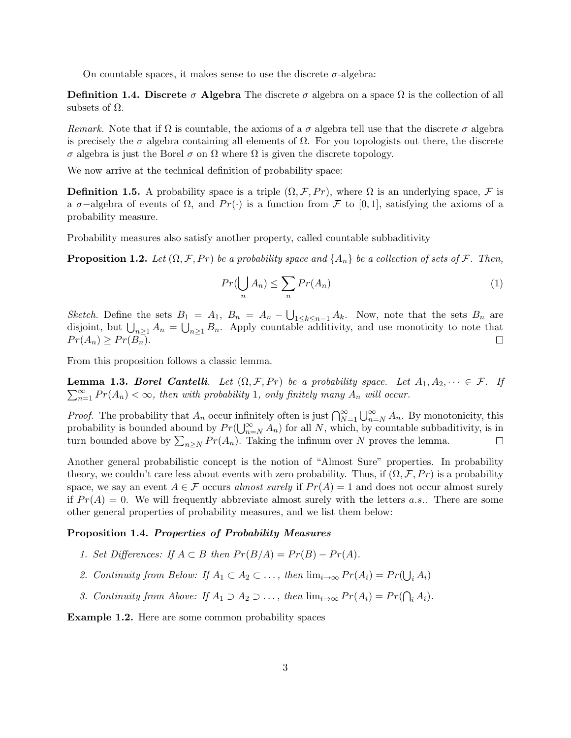On countable spaces, it makes sense to use the discrete  $\sigma$ -algebra:

**Definition 1.4. Discrete**  $\sigma$  **Algebra** The discrete  $\sigma$  algebra on a space  $\Omega$  is the collection of all subsets of  $\Omega$ .

Remark. Note that if  $\Omega$  is countable, the axioms of a  $\sigma$  algebra tell use that the discrete  $\sigma$  algebra is precisely the  $\sigma$  algebra containing all elements of  $\Omega$ . For you topologists out there, the discrete σ algebra is just the Borel σ on Ω where Ω is given the discrete topology.

We now arrive at the technical definition of probability space:

**Definition 1.5.** A probability space is a triple  $(\Omega, \mathcal{F}, Pr)$ , where  $\Omega$  is an underlying space,  $\mathcal{F}$  is a  $\sigma$ −algebra of events of  $\Omega$ , and  $Pr(\cdot)$  is a function from F to [0,1], satisfying the axioms of a probability measure.

Probability measures also satisfy another property, called countable subbaditivity

**Proposition 1.2.** Let  $(\Omega, \mathcal{F}, Pr)$  be a probability space and  $\{A_n\}$  be a collection of sets of  $\mathcal{F}$ . Then,

$$
Pr(\bigcup_{n} A_n) \le \sum_{n} Pr(A_n)
$$
 (1)

Sketch. Define the sets  $B_1 = A_1$ ,  $B_n = A_n - \bigcup_{1 \leq k \leq n-1} A_k$ . Now, note that the sets  $B_n$  are disjoint, but  $\bigcup_{n\geq 1} A_n = \bigcup_{n\geq 1} B_n$ . Apply countable additivity, and use monoticity to note that  $Pr(A_n) \geq Pr(B_n).$  $\Box$ 

From this proposition follows a classic lemma.

 $\sum_{n=1}^{\infty} Pr(A_n) < \infty$ , then with probability 1, only finitely many  $A_n$  will occur. **Lemma 1.3. Borel Cantelli**. Let  $(\Omega, \mathcal{F}, Pr)$  be a probability space. Let  $A_1, A_2, \dots \in \mathcal{F}$ . If

*Proof.* The probability that  $A_n$  occur infinitely often is just  $\bigcap_{N=1}^{\infty} \bigcup_{n=N}^{\infty} A_n$ . By monotonicity, this probability is bounded abound by  $Pr(\bigcup_{n=N}^{\infty} A_n)$  for all N, which, by countable subbaditivity, is in turn bounded above by  $\sum_{n\geq N} Pr(A_n)$ . Taking the infinum over N proves the lemma.  $\Box$ 

Another general probabilistic concept is the notion of "Almost Sure" properties. In probability theory, we couldn't care less about events with zero probability. Thus, if  $(\Omega, \mathcal{F}, Pr)$  is a probability space, we say an event  $A \in \mathcal{F}$  occurs almost surely if  $Pr(A) = 1$  and does not occur almost surely if  $Pr(A) = 0$ . We will frequently abbreviate almost surely with the letters a.s.. There are some other general properties of probability measures, and we list them below:

#### Proposition 1.4. Properties of Probability Measures

- 1. Set Differences: If  $A \subset B$  then  $Pr(B/A) = Pr(B) Pr(A)$ .
- 2. Continuity from Below: If  $A_1 \subset A_2 \subset \ldots$ , then  $\lim_{i \to \infty} Pr(A_i) = Pr(\bigcup_i A_i)$
- 3. Continuity from Above: If  $A_1 \supset A_2 \supset \ldots$ , then  $\lim_{i \to \infty} Pr(A_i) = Pr(\bigcap_i A_i)$ .

Example 1.2. Here are some common probability spaces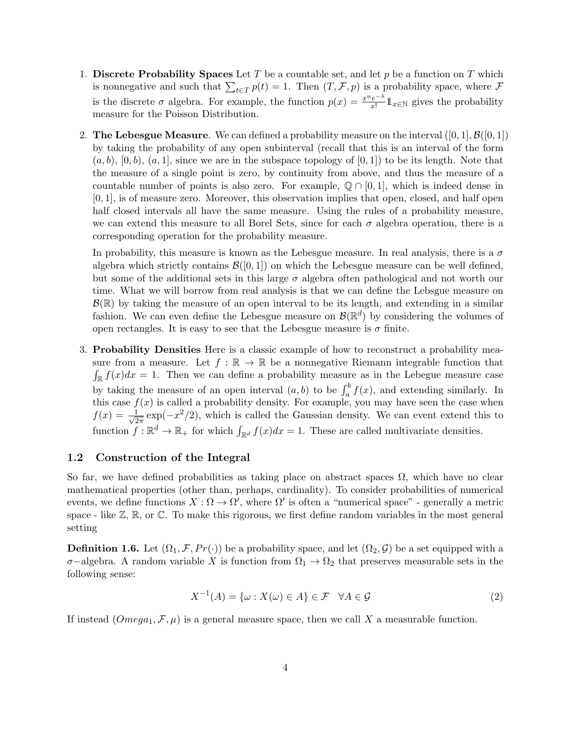- 1. Discrete Probability Spaces Let T be a countable set, and let p be a function on T which is nonnegative and such that  $\sum_{t\in T} p(t) = 1$ . Then  $(T, \mathcal{F}, p)$  is a probability space, where  $\mathcal F$ is the discrete  $\sigma$  algebra. For example, the function  $p(x) = \frac{x^n e^{-\lambda}}{x!}$  $\frac{e^{-\lambda}}{x!} \mathbb{1}_{x \in \mathbb{N}}$  gives the probability measure for the Poisson Distribution.
- 2. The Lebesgue Measure. We can defined a probability measure on the interval  $([0,1], \mathcal{B}([0,1])$ by taking the probability of any open subinterval (recall that this is an interval of the form  $(a, b), [0, b), (a, 1],$  since we are in the subspace topology of  $[0, 1]$ ) to be its length. Note that the measure of a single point is zero, by continuity from above, and thus the measure of a countable number of points is also zero. For example,  $\mathbb{Q} \cap [0,1]$ , which is indeed dense in [0, 1], is of measure zero. Moreover, this observation implies that open, closed, and half open half closed intervals all have the same measure. Using the rules of a probability measure, we can extend this measure to all Borel Sets, since for each  $\sigma$  algebra operation, there is a corresponding operation for the probability measure.

In probability, this measure is known as the Lebesgue measure. In real analysis, there is a  $\sigma$ algebra which strictly contains  $\mathcal{B}([0,1])$  on which the Lebesgue measure can be well defined, but some of the additional sets in this large  $\sigma$  algebra often pathological and not worth our time. What we will borrow from real analysis is that we can define the Lebsgue measure on  $\mathcal{B}(\mathbb{R})$  by taking the measure of an open interval to be its length, and extending in a similar fashion. We can even define the Lebesgue measure on  $\mathcal{B}(\mathbb{R}^d)$  by considering the volumes of open rectangles. It is easy to see that the Lebesgue measure is  $\sigma$  finite.

3. Probability Densities Here is a classic example of how to reconstruct a probability measure from a measure. Let  $f : \mathbb{R} \to \mathbb{R}$  be a nonnegative Riemann integrable function that  $\int_{\mathbb{R}} f(x) dx = 1$ . Then we can define a probability measure as in the Lebegue measure case by taking the measure of an open interval  $(a, b)$  to be  $\int_a^b f(x)$ , and extending similarly. In this case  $f(x)$  is called a probability density. For example, you may have seen the case when  $f(x) = \frac{1}{\sqrt{2}}$  $\frac{1}{2\pi}$  exp( $-x^2/2$ ), which is called the Gaussian density. We can event extend this to function  $f: \mathbb{R}^d \to \mathbb{R}_+$  for which  $\int_{\mathbb{R}^d} f(x)dx = 1$ . These are called multivariate densities.

#### 1.2 Construction of the Integral

So far, we have defined probabilities as taking place on abstract spaces  $\Omega$ , which have no clear mathematical properties (other than, perhaps, cardinality). To consider probabilities of numerical events, we define functions  $X:\Omega \to \Omega'$ , where  $\Omega'$  is often a "numerical space" - generally a metric space - like  $\mathbb{Z}, \mathbb{R}$ , or  $\mathbb{C}$ . To make this rigorous, we first define random variables in the most general setting

**Definition 1.6.** Let  $(\Omega_1, \mathcal{F}, Pr(\cdot))$  be a probability space, and let  $(\Omega_2, \mathcal{G})$  be a set equipped with a  $\sigma$ −algebra. A random variable X is function from  $\Omega_1 \to \Omega_2$  that preserves measurable sets in the following sense:

$$
X^{-1}(A) = \{ \omega : X(\omega) \in A \} \in \mathcal{F} \quad \forall A \in \mathcal{G} \tag{2}
$$

If instead  $(Omega_1, \mathcal{F}, \mu)$  is a general measure space, then we call X a measurable function.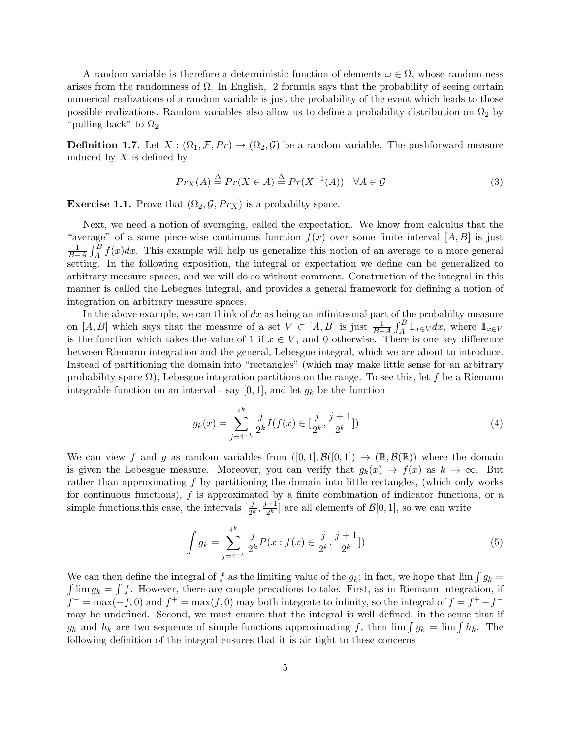A random variable is therefore a deterministic function of elements  $\omega \in \Omega$ , whose random-ness arises from the randomness of  $\Omega$ . In English, 2 formula says that the probability of seeing certain numerical realizations of a random variable is just the probability of the event which leads to those possible realizations. Random variables also allow us to define a probability distribution on  $\Omega_2$  by "pulling back" to  $\Omega_2$ 

**Definition 1.7.** Let  $X : (\Omega_1, \mathcal{F}, Pr) \to (\Omega_2, \mathcal{G})$  be a random variable. The pushforward measure induced by  $X$  is defined by

$$
Pr_X(A) \stackrel{\Delta}{=} Pr(X \in A) \stackrel{\Delta}{=} Pr(X^{-1}(A)) \quad \forall A \in \mathcal{G}
$$
\n<sup>(3)</sup>

**Exercise 1.1.** Prove that  $(\Omega_2, \mathcal{G}, Pr_X)$  is a probabilty space.

Next, we need a notion of averaging, called the expectation. We know from calculus that the "average" of a some piece-wise continuous function  $f(x)$  over some finite interval  $[A, B]$  is just  $\frac{1}{B-A}\int_A^B f(x)dx$ . This example will help us generalize this notion of an average to a more general setting. In the following exposition, the integral or expectation we define can be generalized to arbitrary measure spaces, and we will do so without comment. Construction of the integral in this manner is called the Lebegues integral, and provides a general framework for defining a notion of integration on arbitrary measure spaces.

In the above example, we can think of  $dx$  as being an infinitesmal part of the probabilty measure on [A, B] which says that the measure of a set  $V \subset [A, B]$  is just  $\frac{1}{B-A} \int_A^B \mathbb{1}_{x \in V} dx$ , where  $\mathbb{1}_{x \in V}$ is the function which takes the value of 1 if  $x \in V$ , and 0 otherwise. There is one key difference between Riemann integration and the general, Lebesgue integral, which we are about to introduce. Instead of partitioning the domain into "rectangles" (which may make little sense for an arbitrary probability space  $\Omega$ ), Lebesgue integration partitions on the range. To see this, let f be a Riemann integrable function on an interval - say  $[0, 1]$ , and let  $g_k$  be the function

$$
g_k(x) = \sum_{j=4^{-k}}^{4^k} \frac{j}{2^k} I(f(x) \in [\frac{j}{2^k}, \frac{j+1}{2^k}])
$$
\n(4)

We can view f and g as random variables from  $([0, 1], \mathcal{B}([0, 1]) \to (\mathbb{R}, \mathcal{B}(\mathbb{R}))$  where the domain is given the Lebesgue measure. Moreover, you can verify that  $g_k(x) \to f(x)$  as  $k \to \infty$ . But rather than approximating f by partitioning the domain into little rectangles, (which only works for continuous functions), f is approximated by a finite combination of indicator functions, or a simple functions this case, the intervals  $[\frac{j}{2^k}, \frac{j+1}{2^k}]$  $\frac{+1}{2^k}$  are all elements of  $\mathcal{B}[0,1]$ , so we can write

$$
\int g_k = \sum_{j=4^{-k}}^{4^k} \frac{j}{2^k} P(x : f(x) \in \frac{j}{2^k}, \frac{j+1}{2^k}])
$$
\n(5)

We can then define the integral of f as the limiting value of the  $g_k$ ; in fact, we hope that  $\lim \int g_k =$  $\int \lim g_k = \int f$ . However, there are couple precations to take. First, as in Riemann integration, if  $f^{-} = \max(-f, 0)$  and  $f^{+} = \max(f, 0)$  may both integrate to infinity, so the integral of  $f = f^{+} - f^{-}$ may be undefined. Second, we must ensure that the integral is well defined, in the sense that if  $g_k$  and  $h_k$  are two sequence of simple functions approximating f, then  $\lim \int g_k = \lim \int h_k$ . The following definition of the integral ensures that it is air tight to these concerns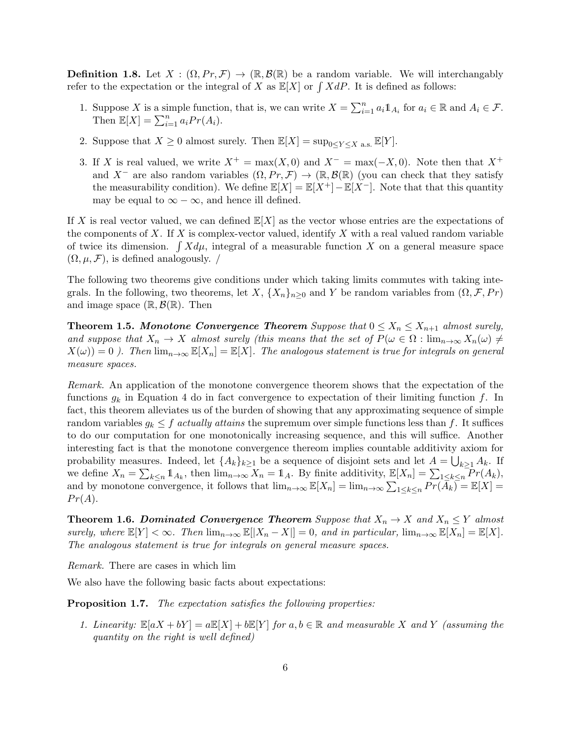**Definition 1.8.** Let  $X : (\Omega, Pr, \mathcal{F}) \to (\mathbb{R}, \mathcal{B}(\mathbb{R}))$  be a random variable. We will interchangably refer to the expectation or the integral of X as  $\mathbb{E}[X]$  or  $\int X dP$ . It is defined as follows:

- 1. Suppose X is a simple function, that is, we can write  $X = \sum_{i=1}^{n} a_i 1\!\!1_{A_i}$  for  $a_i \in \mathbb{R}$  and  $A_i \in \mathcal{F}$ . Then  $\mathbb{E}[X] = \sum_{i=1}^{n} a_i Pr(A_i)$ .
- 2. Suppose that  $X \geq 0$  almost surely. Then  $\mathbb{E}[X] = \sup_{0 \leq Y \leq X} \mathbb{E}[Y]$ .
- 3. If X is real valued, we write  $X^+ = \max(X, 0)$  and  $X^- = \max(-X, 0)$ . Note then that  $X^+$ and X<sup>-</sup> are also random variables  $(\Omega, Pr, \mathcal{F}) \to (\mathbb{R}, \mathcal{B}(\mathbb{R})$  (you can check that they satisfy the measurability condition). We define  $\mathbb{E}[X] = \mathbb{E}[X^+] - \mathbb{E}[X^-]$ . Note that that this quantity may be equal to  $\infty - \infty$ , and hence ill defined.

If X is real vector valued, we can defined  $\mathbb{E}[X]$  as the vector whose entries are the expectations of the components of X. If X is complex-vector valued, identify X with a real valued random variable of twice its dimension.  $\int X d\mu$ , integral of a measurable function X on a general measure space  $(\Omega, \mu, \mathcal{F})$ , is defined analogously. /

The following two theorems give conditions under which taking limits commutes with taking integrals. In the following, two theorems, let X,  $\{X_n\}_{n>0}$  and Y be random variables from  $(\Omega, \mathcal{F}, Pr)$ and image space  $(\mathbb{R}, \mathcal{B}(\mathbb{R})$ . Then

**Theorem 1.5.** Monotone Convergence Theorem Suppose that  $0 \le X_n \le X_{n+1}$  almost surely, and suppose that  $X_n \to X$  almost surely (this means that the set of  $P(\omega \in \Omega : \lim_{n\to\infty} X_n(\omega) \neq \emptyset)$  $X(\omega) = 0$  ). Then  $\lim_{n\to\infty} \mathbb{E}[X_n] = \mathbb{E}[X]$ . The analogous statement is true for integrals on general measure spaces.

Remark. An application of the monotone convergence theorem shows that the expectation of the functions  $g_k$  in Equation 4 do in fact convergence to expectation of their limiting function f. In fact, this theorem alleviates us of the burden of showing that any approximating sequence of simple random variables  $g_k \leq f$  actually attains the supremum over simple functions less than f. It suffices to do our computation for one monotonically increasing sequence, and this will suffice. Another interesting fact is that the monotone convergence thereom implies countable additivity axiom for probability measures. Indeed, let  $\{A_k\}_{k\geq 1}$  be a sequence of disjoint sets and let  $A = \bigcup_{k\geq 1} A_k$ . If we define  $X_n = \sum_{k \leq n} \mathbb{1}_{A_k}$ , then  $\lim_{n \to \infty} X_n = \mathbb{1}_A$ . By finite additivity,  $\mathbb{E}[X_n] = \sum_{1 \leq k \leq n} \mathbb{P}_T(A_k)$ , and by monotone convergence, it follows that  $\lim_{n\to\infty} \mathbb{E}[X_n] = \lim_{n\to\infty} \sum_{1 \leq k \leq n} \overline{Pr(A_k)} = \mathbb{E}[X] =$  $Pr(A)$ .

**Theorem 1.6. Dominated Convergence Theorem** Suppose that  $X_n \to X$  and  $X_n \leq Y$  almost surely, where  $\mathbb{E}[Y] < \infty$ . Then  $\lim_{n \to \infty} \mathbb{E}[|X_n - X|] = 0$ , and in particular,  $\lim_{n \to \infty} \mathbb{E}[X_n] = \mathbb{E}[X]$ . The analogous statement is true for integrals on general measure spaces.

Remark. There are cases in which lim

We also have the following basic facts about expectations:

Proposition 1.7. The expectation satisfies the following properties:

1. Linearity:  $\mathbb{E}[aX + bY] = a\mathbb{E}[X] + b\mathbb{E}[Y]$  for  $a, b \in \mathbb{R}$  and measurable X and Y (assuming the quantity on the right is well defined)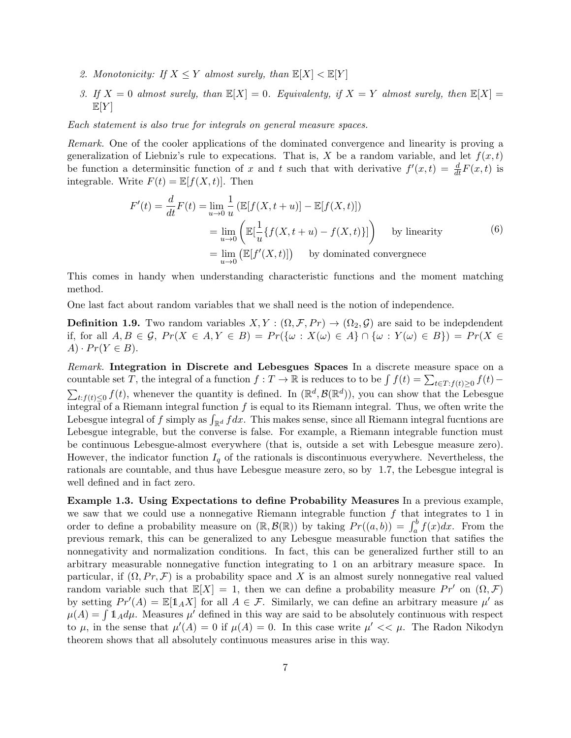- 2. Monotonicity: If  $X \leq Y$  almost surely, than  $\mathbb{E}[X] < \mathbb{E}[Y]$
- 3. If  $X = 0$  almost surely, than  $\mathbb{E}[X] = 0$ . Equivalenty, if  $X = Y$  almost surely, then  $\mathbb{E}[X] =$  $\mathbb{E}[Y]$

Each statement is also true for integrals on general measure spaces.

Remark. One of the cooler applications of the dominated convergence and linearity is proving a generalization of Liebniz's rule to expecations. That is, X be a random variable, and let  $f(x, t)$ be function a determinsitic function of x and t such that with derivative  $f'(x,t) = \frac{d}{dt}F(x,t)$  is integrable. Write  $F(t) = \mathbb{E}[f(X, t)]$ . Then

$$
F'(t) = \frac{d}{dt}F(t) = \lim_{u \to 0} \frac{1}{u} \left( \mathbb{E}[f(X, t+u)] - \mathbb{E}[f(X, t)] \right)
$$
  
\n
$$
= \lim_{u \to 0} \left( \mathbb{E}[\frac{1}{u}\{f(X, t+u) - f(X, t)\}] \right) \text{ by linearity}
$$
  
\n
$$
= \lim_{u \to 0} \left( \mathbb{E}[f'(X, t)] \right) \text{ by dominated convergence}
$$
 (6)

This comes in handy when understanding characteristic functions and the moment matching method.

One last fact about random variables that we shall need is the notion of independence.

**Definition 1.9.** Two random variables  $X, Y : (\Omega, \mathcal{F}, Pr) \to (\Omega_2, \mathcal{G})$  are said to be indepdendent if, for all  $A, B \in \mathcal{G}$ ,  $Pr(X \in A, Y \in B) = Pr({\omega : X(\omega) \in A} \cap {\omega : Y(\omega) \in B}) = Pr(X \in B)$  $A) \cdot Pr(Y \in B).$ 

Remark. Integration in Discrete and Lebesgues Spaces In a discrete measure space on a countable set T, the integral of a function  $f: T \to \mathbb{R}$  is reduces to to be  $\int f(t) = \sum_{t \in T: f(t) \ge 0} f(t)$  $\sum_{t,f(t)\leq 0} f(t)$ , whenever the quantity is defined. In  $(\mathbb{R}^d, \mathcal{B}(\mathbb{R}^d))$ , you can show that the Lebesgue integral of a Riemann integral function  $f$  is equal to its Riemann integral. Thus, we often write the Lebesgue integral of f simply as  $\int_{\mathbb{R}^d} f dx$ . This makes sense, since all Riemann integral fucntions are Lebesgue integrable, but the converse is false. For example, a Riemann integrable function must be continuous Lebesgue-almost everywhere (that is, outside a set with Lebesgue measure zero). However, the indicator function  $I_q$  of the rationals is discontinuous everywhere. Nevertheless, the rationals are countable, and thus have Lebesgue measure zero, so by 1.7, the Lebesgue integral is well defined and in fact zero.

Example 1.3. Using Expectations to define Probability Measures In a previous example, we saw that we could use a nonnegative Riemann integrable function  $f$  that integrates to 1 in order to define a probability measure on  $(\mathbb{R}, \mathcal{B}(\mathbb{R}))$  by taking  $Pr((a, b)) = \int_a^b f(x)dx$ . From the previous remark, this can be generalized to any Lebesgue measurable function that satifies the nonnegativity and normalization conditions. In fact, this can be generalized further still to an arbitrary measurable nonnegative function integrating to 1 on an arbitrary measure space. In particular, if  $(\Omega, Pr, \mathcal{F})$  is a probability space and X is an almost surely nonnegative real valued random variable such that  $\mathbb{E}[X] = 1$ , then we can define a probability measure Pr' on  $(\Omega, \mathcal{F})$ by setting  $Pr'(A) = \mathbb{E}[\mathbb{1}_A X]$  for all  $A \in \mathcal{F}$ . Similarly, we can define an arbitrary measure  $\mu'$  as  $\mu(A) = \int 1_A d\mu$ . Measures  $\mu'$  defined in this way are said to be absolutely continuous with respect to  $\mu$ , in the sense that  $\mu'(A) = 0$  if  $\mu(A) = 0$ . In this case write  $\mu' \ll \mu$ . The Radon Nikodyn theorem shows that all absolutely continuous measures arise in this way.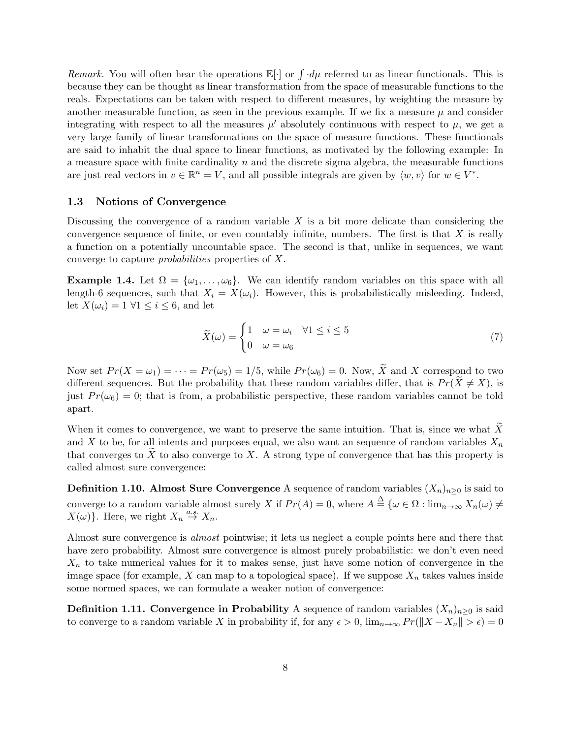Remark. You will often hear the operations  $\mathbb{E}[\cdot]$  or  $\int d\mu$  referred to as linear functionals. This is because they can be thought as linear transformation from the space of measurable functions to the reals. Expectations can be taken with respect to different measures, by weighting the measure by another measurable function, as seen in the previous example. If we fix a measure  $\mu$  and consider integrating with respect to all the measures  $\mu'$  absolutely continuous with respect to  $\mu$ , we get a very large family of linear transformations on the space of measure functions. These functionals are said to inhabit the dual space to linear functions, as motivated by the following example: In a measure space with finite cardinality  $n$  and the discrete sigma algebra, the measurable functions are just real vectors in  $v \in \mathbb{R}^n = V$ , and all possible integrals are given by  $\langle w, v \rangle$  for  $w \in V^*$ .

### 1.3 Notions of Convergence

Discussing the convergence of a random variable  $X$  is a bit more delicate than considering the convergence sequence of finite, or even countably infinite, numbers. The first is that  $X$  is really a function on a potentially uncountable space. The second is that, unlike in sequences, we want converge to capture probabilities properties of X.

**Example 1.4.** Let  $\Omega = {\omega_1, \ldots, \omega_6}$ . We can identify random variables on this space with all length-6 sequences, such that  $X_i = X(\omega_i)$ . However, this is probabilistically misleeding. Indeed, let  $X(\omega_i) = 1 \ \forall 1 \leq i \leq 6$ , and let

$$
\widetilde{X}(\omega) = \begin{cases}\n1 & \omega = \omega_i & \forall 1 \le i \le 5 \\
0 & \omega = \omega_6\n\end{cases}
$$
\n(7)

Now set  $Pr(X = \omega_1) = \cdots = Pr(\omega_5) = 1/5$ , while  $Pr(\omega_6) = 0$ . Now,  $\widetilde{X}$  and X correspond to two different sequences. But the probability that these random variables differ, that is  $Pr(X \neq X)$ , is just  $Pr(\omega_6) = 0$ ; that is from, a probabilistic perspective, these random variables cannot be told apart.

When it comes to convergence, we want to preserve the same intuition. That is, since we what  $\overline{X}$ and X to be, for all intents and purposes equal, we also want an sequence of random variables  $X_n$ that converges to X to also converge to X. A strong type of convergence that has this property is called almost sure convergence:

**Definition 1.10. Almost Sure Convergence** A sequence of random variables  $(X_n)_{n>0}$  is said to converge to a random variable almost surely X if  $Pr(A) = 0$ , where  $A \stackrel{\Delta}{=} {\{\omega \in \Omega : \lim_{n \to \infty} X_n(\omega) \neq \omega\}}$  $X(\omega)$ . Here, we right  $X_n \stackrel{a.s.}{\rightarrow} X_n$ .

Almost sure convergence is almost pointwise; it lets us neglect a couple points here and there that have zero probability. Almost sure convergence is almost purely probabilistic: we don't even need  $X_n$  to take numerical values for it to makes sense, just have some notion of convergence in the image space (for example, X can map to a topological space). If we suppose  $X_n$  takes values inside some normed spaces, we can formulate a weaker notion of convergence:

**Definition 1.11. Convergence in Probability** A sequence of random variables  $(X_n)_{n>0}$  is said to converge to a random variable X in probability if, for any  $\epsilon > 0$ ,  $\lim_{n\to\infty} Pr(||X - X_n|| > \epsilon) = 0$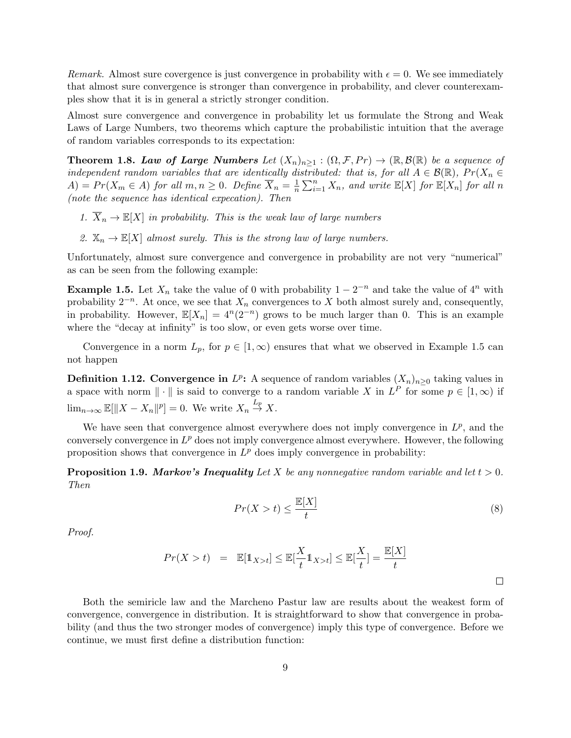Remark. Almost sure covergence is just convergence in probability with  $\epsilon = 0$ . We see immediately that almost sure convergence is stronger than convergence in probability, and clever counterexamples show that it is in general a strictly stronger condition.

Almost sure convergence and convergence in probability let us formulate the Strong and Weak Laws of Large Numbers, two theorems which capture the probabilistic intuition that the average of random variables corresponds to its expectation:

**Theorem 1.8. Law of Large Numbers** Let  $(X_n)_{n\geq 1} : (\Omega, \mathcal{F}, Pr) \to (\mathbb{R}, \mathcal{B}(\mathbb{R}))$  be a sequence of independent random variables that are identically distributed: that is, for all  $A \in \mathcal{B}(\mathbb{R})$ ,  $Pr(X_n \in$  $A) = Pr(X_m \in A)$  for all  $m, n \geq 0$ . Define  $\overline{X}_n = \frac{1}{n}$  $\frac{1}{n} \sum_{i=1}^{n} X_n$ , and write  $\mathbb{E}[X]$  for  $\mathbb{E}[X_n]$  for all n (note the sequence has identical expecation). Then

- 1.  $\overline{X}_n \to \mathbb{E}[X]$  in probability. This is the weak law of large numbers
- 2.  $\mathbb{X}_n \to \mathbb{E}[X]$  almost surely. This is the strong law of large numbers.

Unfortunately, almost sure convergence and convergence in probability are not very "numerical" as can be seen from the following example:

**Example 1.5.** Let  $X_n$  take the value of 0 with probability  $1 - 2^{-n}$  and take the value of  $4^n$  with probability  $2^{-n}$ . At once, we see that  $X_n$  convergences to X both almost surely and, consequently, in probability. However,  $\mathbb{E}[X_n] = 4^n (2^{-n})$  grows to be much larger than 0. This is an example where the "decay at infinity" is too slow, or even gets worse over time.

Convergence in a norm  $L_p$ , for  $p \in [1,\infty)$  ensures that what we observed in Example 1.5 can not happen

**Definition 1.12. Convergence in**  $L^p$ : A sequence of random variables  $(X_n)_{n\geq 0}$  taking values in a space with norm  $\|\cdot\|$  is said to converge to a random variable X in  $L^P$  for some  $p \in [1,\infty)$  if  $\lim_{n\to\infty} \mathbb{E}[\|X - X_n\|^p] = 0.$  We write  $X_n \stackrel{L_p}{\to} X$ .

We have seen that convergence almost everywhere does not imply convergence in  $L^p$ , and the conversely convergence in  $L^p$  does not imply convergence almost everywhere. However, the following proposition shows that convergence in  $L^p$  does imply convergence in probability:

**Proposition 1.9. Markov's Inequality** Let X be any nonnegative random variable and let  $t > 0$ . Then

$$
Pr(X > t) \le \frac{\mathbb{E}[X]}{t} \tag{8}
$$

Proof.

$$
Pr(X > t) = \mathbb{E}[\mathbb{1}_{X>t}] \le \mathbb{E}[\frac{X}{t} \mathbb{1}_{X>t}] \le \mathbb{E}[\frac{X}{t}] = \frac{\mathbb{E}[X]}{t}
$$

Both the semiricle law and the Marcheno Pastur law are results about the weakest form of convergence, convergence in distribution. It is straightforward to show that convergence in probability (and thus the two stronger modes of convergence) imply this type of convergence. Before we continue, we must first define a distribution function: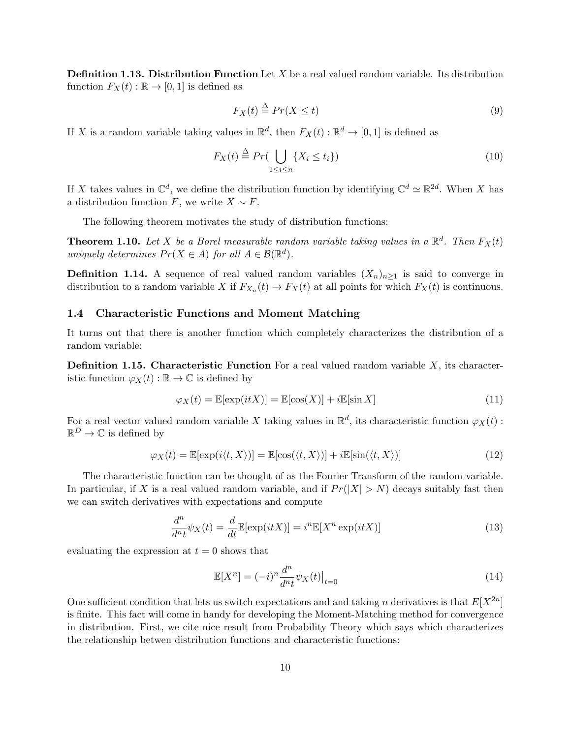**Definition 1.13. Distribution Function** Let  $X$  be a real valued random variable. Its distribution function  $F_X(t): \mathbb{R} \to [0, 1]$  is defined as

$$
F_X(t) \stackrel{\Delta}{=} Pr(X \le t) \tag{9}
$$

If X is a random variable taking values in  $\mathbb{R}^d$ , then  $F_X(t) : \mathbb{R}^d \to [0,1]$  is defined as

$$
F_X(t) \stackrel{\Delta}{=} Pr\left(\bigcup_{1 \le i \le n} \{X_i \le t_i\}\right) \tag{10}
$$

If X takes values in  $\mathbb{C}^d$ , we define the distribution function by identifying  $\mathbb{C}^d \simeq \mathbb{R}^{2d}$ . When X has a distribution function F, we write  $X \sim F$ .

The following theorem motivates the study of distribution functions:

**Theorem 1.10.** Let X be a Borel measurable random variable taking values in a  $\mathbb{R}^d$ . Then  $F_X(t)$ uniquely determines  $Pr(X \in A)$  for all  $A \in \mathcal{B}(\mathbb{R}^d)$ .

**Definition 1.14.** A sequence of real valued random variables  $(X_n)_{n>1}$  is said to converge in distribution to a random variable X if  $F_{X_n}(t) \to F_X(t)$  at all points for which  $F_X(t)$  is continuous.

### 1.4 Characteristic Functions and Moment Matching

It turns out that there is another function which completely characterizes the distribution of a random variable:

**Definition 1.15. Characteristic Function** For a real valued random variable  $X$ , its characteristic function  $\varphi_X(t) : \mathbb{R} \to \mathbb{C}$  is defined by

$$
\varphi_X(t) = \mathbb{E}[\exp(itX)] = \mathbb{E}[\cos(X)] + i\mathbb{E}[\sin X] \tag{11}
$$

For a real vector valued random variable X taking values in  $\mathbb{R}^d$ , its characteristic function  $\varphi_X(t)$ :  $\mathbb{R}^D \to \mathbb{C}$  is defined by

$$
\varphi_X(t) = \mathbb{E}[\exp(i\langle t, X \rangle)] = \mathbb{E}[\cos(\langle t, X \rangle)] + i\mathbb{E}[\sin(\langle t, X \rangle)] \tag{12}
$$

The characteristic function can be thought of as the Fourier Transform of the random variable. In particular, if X is a real valued random variable, and if  $Pr(|X| > N)$  decays suitably fast then we can switch derivatives with expectations and compute

$$
\frac{d^n}{dn_t}\psi_X(t) = \frac{d}{dt}\mathbb{E}[\exp(itX)] = i^n \mathbb{E}[X^n \exp(itX)]
$$
\n(13)

evaluating the expression at  $t = 0$  shows that

$$
\mathbb{E}[X^n] = (-i)^n \frac{d^n}{d^n t} \psi_X(t) \big|_{t=0} \tag{14}
$$

One sufficient condition that lets us switch expectations and and taking n derivatives is that  $E[X^{2n}]$ is finite. This fact will come in handy for developing the Moment-Matching method for convergence in distribution. First, we cite nice result from Probability Theory which says which characterizes the relationship betwen distribution functions and characteristic functions: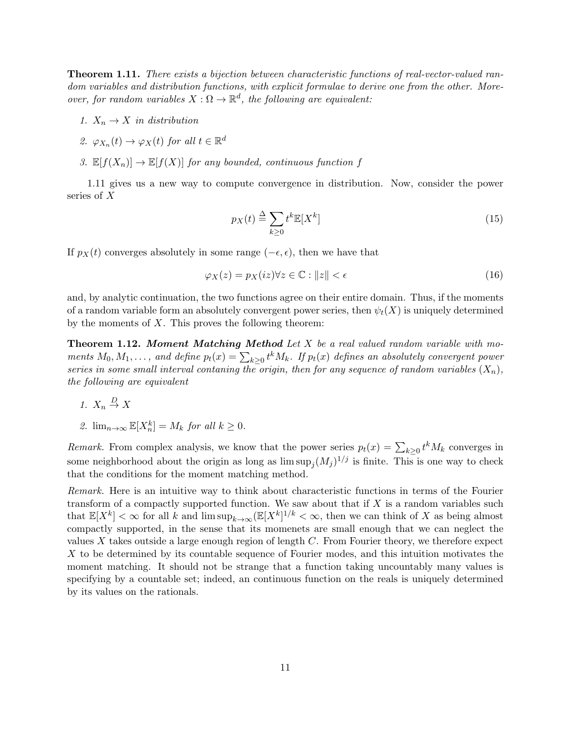**Theorem 1.11.** There exists a bijection between characteristic functions of real-vector-valued random variables and distribution functions, with explicit formulae to derive one from the other. Moreover, for random variables  $X : \Omega \to \mathbb{R}^d$ , the following are equivalent:

- 1.  $X_n \to X$  in distribution
- 2.  $\varphi_{X_n}(t) \to \varphi_X(t)$  for all  $t \in \mathbb{R}^d$
- 3.  $\mathbb{E}[f(X_n)] \to \mathbb{E}[f(X)]$  for any bounded, continuous function f

1.11 gives us a new way to compute convergence in distribution. Now, consider the power series of X

$$
p_X(t) \stackrel{\Delta}{=} \sum_{k \ge 0} t^k \mathbb{E}[X^k]
$$
\n(15)

If  $p_X(t)$  converges absolutely in some range ( $-\epsilon, \epsilon$ ), then we have that

$$
\varphi_X(z) = p_X(iz) \forall z \in \mathbb{C} : ||z|| < \epsilon \tag{16}
$$

and, by analytic continuation, the two functions agree on their entire domain. Thus, if the moments of a random variable form an absolutely convergent power series, then  $\psi_t(X)$  is uniquely determined by the moments of  $X$ . This proves the following theorem:

**Theorem 1.12. Moment Matching Method** Let  $X$  be a real valued random variable with moments  $M_0, M_1, \ldots$ , and define  $p_t(x) = \sum_{k \geq 0} t^k M_k$ . If  $p_t(x)$  defines an absolutely convergent power series in some small interval contaning the origin, then for any sequence of random variables  $(X_n)$ , the following are equivalent

- 1.  $X_n \stackrel{D}{\rightarrow} X$
- 2.  $\lim_{n\to\infty} \mathbb{E}[X_n^k] = M_k$  for all  $k \geq 0$ .

Remark. From complex analysis, we know that the power series  $p_t(x) = \sum_{k\geq 0} t^k M_k$  converges in some neighborhood about the origin as long as  $\limsup_j (M_j)^{1/j}$  is finite. This is one way to check that the conditions for the moment matching method.

Remark. Here is an intuitive way to think about characteristic functions in terms of the Fourier transform of a compactly supported function. We saw about that if  $X$  is a random variables such that  $\mathbb{E}[X^k]<\infty$  for all k and  $\limsup_{k\to\infty} (\mathbb{E}[X^k]^{1/k}<\infty$ , then we can think of X as being almost compactly supported, in the sense that its momenets are small enough that we can neglect the values X takes outside a large enough region of length  $C$ . From Fourier theory, we therefore expect X to be determined by its countable sequence of Fourier modes, and this intuition motivates the moment matching. It should not be strange that a function taking uncountably many values is specifying by a countable set; indeed, an continuous function on the reals is uniquely determined by its values on the rationals.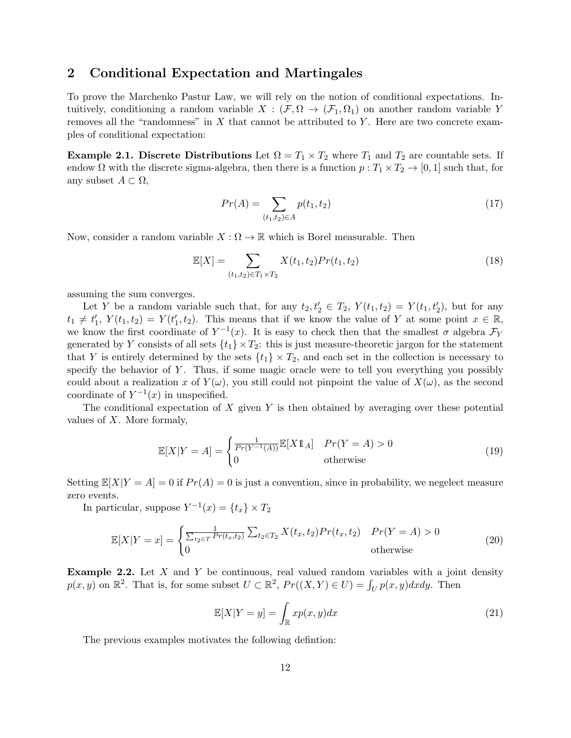### 2 Conditional Expectation and Martingales

To prove the Marchenko Pastur Law, we will rely on the notion of conditional expectations. Intuitively, conditioning a random variable  $X : (\mathcal{F}, \Omega \to (\mathcal{F}_1, \Omega_1)$  on another random variable Y removes all the "randomness" in  $X$  that cannot be attributed to  $Y$ . Here are two concrete examples of conditional expectation:

**Example 2.1. Discrete Distributions** Let  $\Omega = T_1 \times T_2$  where  $T_1$  and  $T_2$  are countable sets. If endow  $\Omega$  with the discrete sigma-algebra, then there is a function  $p: T_1 \times T_2 \to [0, 1]$  such that, for any subset  $A \subset \Omega$ ,

$$
Pr(A) = \sum_{(t_1, t_2) \in A} p(t_1, t_2)
$$
\n(17)

Now, consider a random variable  $X : \Omega \to \mathbb{R}$  which is Borel measurable. Then

$$
\mathbb{E}[X] = \sum_{(t_1, t_2) \in T_1 \times T_2} X(t_1, t_2) Pr(t_1, t_2)
$$
\n(18)

assuming the sum converges.

Let Y be a random variable such that, for any  $t_2, t'_2 \in T_2$ ,  $Y(t_1, t_2) = Y(t_1, t'_2)$ , but for any  $t_1 \neq t'_1$ ,  $Y(t_1, t_2) = Y(t'_1, t_2)$ . This means that if we know the value of Y at some point  $x \in \mathbb{R}$ , we know the first coordinate of  $Y^{-1}(x)$ . It is easy to check then that the smallest  $\sigma$  algebra  $\mathcal{F}_Y$ generated by Y consists of all sets  $\{t_1\} \times T_2$ : this is just measure-theoretic jargon for the statement that Y is entirely determined by the sets  $\{t_1\} \times T_2$ , and each set in the collection is necessary to specify the behavior of  $Y$ . Thus, if some magic oracle were to tell you everything you possibly could about a realization x of  $Y(\omega)$ , you still could not pinpoint the value of  $X(\omega)$ , as the second coordinate of  $Y^{-1}(x)$  in unspecified.

The conditional expectation of  $X$  given  $Y$  is then obtained by averaging over these potential values of X. More formaly,

$$
\mathbb{E}[X|Y=A] = \begin{cases} \frac{1}{Pr(Y^{-1}(A))} \mathbb{E}[X \mathbb{1}_A] & Pr(Y=A) > 0\\ 0 & \text{otherwise} \end{cases}
$$
(19)

Setting  $\mathbb{E}[X|Y = A] = 0$  if  $Pr(A) = 0$  is just a convention, since in probability, we negelect measure zero events.

In particular, suppose  $Y^{-1}(x) = \{t_x\} \times T_2$ 

$$
\mathbb{E}[X|Y=x] = \begin{cases} \frac{1}{\sum_{t_2 \in T} Pr(t_x, t_2)} \sum_{t_2 \in T_2} X(t_x, t_2) Pr(t_x, t_2) & Pr(Y = A) > 0\\ 0 & \text{otherwise} \end{cases}
$$
(20)

**Example 2.2.** Let  $X$  and  $Y$  be continuous, real valued random variables with a joint density  $p(x, y)$  on  $\mathbb{R}^2$ . That is, for some subset  $U \subset \mathbb{R}^2$ ,  $Pr((X, Y) \in U) = \int_U p(x, y) dx dy$ . Then

$$
\mathbb{E}[X|Y=y] = \int_{\mathbb{R}} x p(x,y) dx \tag{21}
$$

The previous examples motivates the following defintion: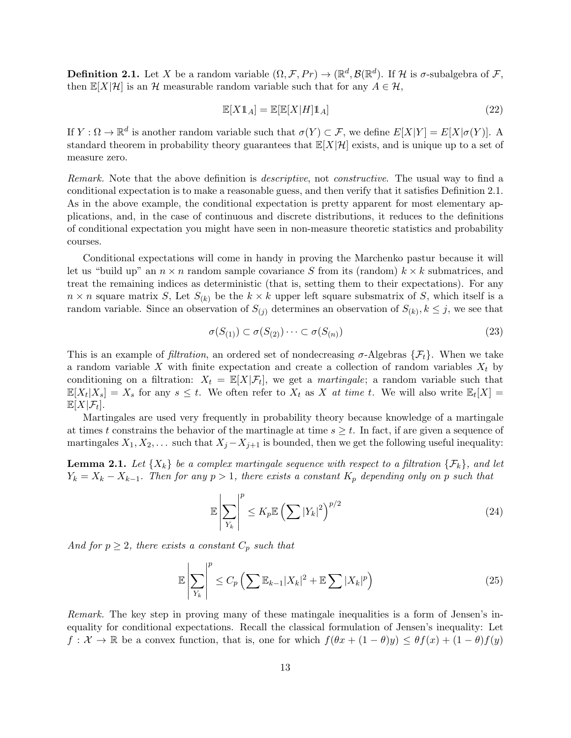**Definition 2.1.** Let X be a random variable  $(\Omega, \mathcal{F}, Pr) \to (\mathbb{R}^d, \mathcal{B}(\mathbb{R}^d)$ . If H is  $\sigma$ -subalgebra of  $\mathcal{F},$ then  $\mathbb{E}[X|\mathcal{H}]$  is an H measurable random variable such that for any  $A \in \mathcal{H}$ ,

$$
\mathbb{E}[X\mathbb{1}_A] = \mathbb{E}[\mathbb{E}[X|H]\mathbb{1}_A] \tag{22}
$$

If  $Y: \Omega \to \mathbb{R}^d$  is another random variable such that  $\sigma(Y) \subset \mathcal{F}$ , we define  $E[X|Y] = E[X|\sigma(Y)]$ . A standard theorem in probability theory guarantees that  $\mathbb{E}[X|\mathcal{H}]$  exists, and is unique up to a set of measure zero.

Remark. Note that the above definition is *descriptive*, not *constructive*. The usual way to find a conditional expectation is to make a reasonable guess, and then verify that it satisfies Definition 2.1. As in the above example, the conditional expectation is pretty apparent for most elementary applications, and, in the case of continuous and discrete distributions, it reduces to the definitions of conditional expectation you might have seen in non-measure theoretic statistics and probability courses.

Conditional expectations will come in handy in proving the Marchenko pastur because it will let us "build up" an  $n \times n$  random sample covariance S from its (random)  $k \times k$  submatrices, and treat the remaining indices as deterministic (that is, setting them to their expectations). For any  $n \times n$  square matrix S, Let  $S_{(k)}$  be the  $k \times k$  upper left square subsmatrix of S, which itself is a random variable. Since an observation of  $S_{(j)}$  determines an observation of  $S_{(k)}, k \leq j$ , we see that

$$
\sigma(S_{(1)}) \subset \sigma(S_{(2)}) \cdots \subset \sigma(S_{(n)}) \tag{23}
$$

This is an example of *filtration*, an ordered set of nondecreasing  $\sigma$ -Algebras  $\{\mathcal{F}_t\}$ . When we take a random variable X with finite expectation and create a collection of random variables  $X_t$  by conditioning on a filtration:  $X_t = \mathbb{E}[X|\mathcal{F}_t]$ , we get a *martingale*; a random variable such that  $\mathbb{E}[X_t|X_s] = X_s$  for any  $s \leq t$ . We often refer to  $X_t$  as X at time t. We will also write  $\mathbb{E}_t[X] =$  $\mathbb{E}[X|\mathcal{F}_t].$ 

Martingales are used very frequently in probability theory because knowledge of a martingale at times t constrains the behavior of the martinagle at time  $s \geq t$ . In fact, if are given a sequence of martingales  $X_1, X_2, \ldots$  such that  $X_j - X_{j+1}$  is bounded, then we get the following useful inequality:

**Lemma 2.1.** Let  $\{X_k\}$  be a complex martingale sequence with respect to a filtration  $\{\mathcal{F}_k\}$ , and let  $Y_k = X_k - X_{k-1}$ . Then for any  $p > 1$ , there exists a constant  $K_p$  depending only on p such that

$$
\mathbb{E}\left|\sum_{Y_k}\right|^p \le K_p \mathbb{E}\left(\sum |Y_k|^2\right)^{p/2} \tag{24}
$$

And for  $p \geq 2$ , there exists a constant  $C_p$  such that

$$
\mathbb{E}\left|\sum_{Y_k}\right|^p \le C_p \left(\sum \mathbb{E}_{k-1}|X_k|^2 + \mathbb{E}\sum |X_k|^p\right) \tag{25}
$$

Remark. The key step in proving many of these matingale inequalities is a form of Jensen's inequality for conditional expectations. Recall the classical formulation of Jensen's inequality: Let  $f: \mathcal{X} \to \mathbb{R}$  be a convex function, that is, one for which  $f(\theta x + (1 - \theta)y) \leq \theta f(x) + (1 - \theta)f(y)$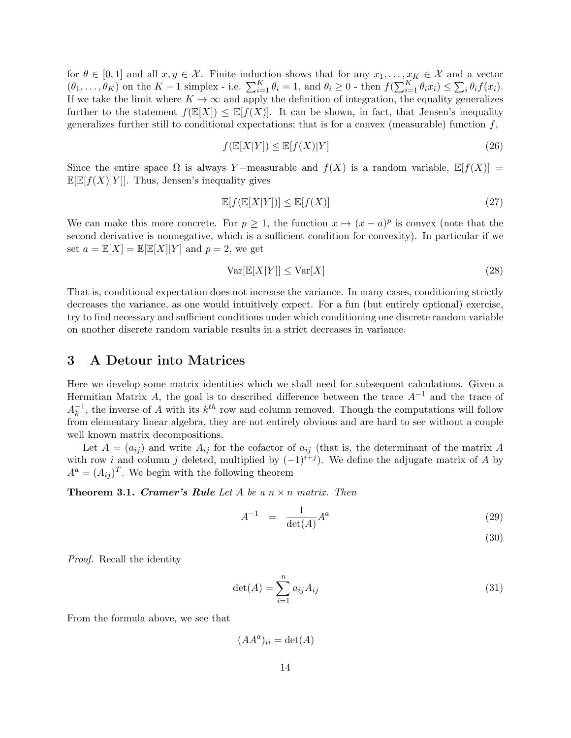for  $\theta \in [0,1]$  and all  $x, y \in \mathcal{X}$ . Finite induction shows that for any  $x_1, \ldots, x_K \in \mathcal{X}$  and a vector  $(\theta_1,\ldots,\theta_K)$  on the  $K-1$  simplex - i.e.  $\sum_{i=1}^K \theta_i = 1$ , and  $\theta_i \geq 0$  - then  $f(\sum_{i=1}^K \theta_i x_i) \leq \sum_i \theta_i f(x_i)$ . If we take the limit where  $K \to \infty$  and apply the definition of integration, the equality generalizes further to the statement  $f(\mathbb{E}[X]) \leq \mathbb{E}[f(X)]$ . It can be shown, in fact, that Jensen's inequality generalizes further still to conditional expectations; that is for a convex (measurable) function  $f$ ,

$$
f(\mathbb{E}[X|Y]) \le \mathbb{E}[f(X)|Y]
$$
\n(26)

Since the entire space  $\Omega$  is always Y-measurable and  $f(X)$  is a random variable,  $\mathbb{E}[f(X)] =$  $\mathbb{E}[\mathbb{E}[f(X)|Y]]$ . Thus, Jensen's inequality gives

$$
\mathbb{E}[f(\mathbb{E}[X|Y])] \le \mathbb{E}[f(X)] \tag{27}
$$

We can make this more concrete. For  $p \geq 1$ , the function  $x \mapsto (x-a)^p$  is convex (note that the second derivative is nonnegative, which is a sufficient condition for convexity). In particular if we set  $a = \mathbb{E}[X] = \mathbb{E}[\mathbb{E}[X]|Y]$  and  $p = 2$ , we get

$$
\text{Var}[\mathbb{E}[X|Y]] \le \text{Var}[X] \tag{28}
$$

That is, conditional expectation does not increase the variance. In many cases, conditioning strictly decreases the variance, as one would intuitively expect. For a fun (but entirely optional) exercise, try to find necessary and sufficient conditions under which conditioning one discrete random variable on another discrete random variable results in a strict decreases in variance.

### 3 A Detour into Matrices

Here we develop some matrix identities which we shall need for subsequent calculations. Given a Hermitian Matrix A, the goal is to described difference between the trace  $A^{-1}$  and the trace of  $A_k^{-1}$  $k<sup>-1</sup>$ , the inverse of A with its  $k<sup>th</sup>$  row and column removed. Though the computations will follow from elementary linear algebra, they are not entirely obvious and are hard to see without a couple well known matrix decompositions.

Let  $A = (a_{ij})$  and write  $A_{ij}$  for the cofactor of  $a_{ij}$  (that is, the determinant of the matrix A with row i and column j deleted, multiplied by  $(-1)^{i+j}$ ). We define the adjugate matrix of A by  $A^a = (A_{ij})^T$ . We begin with the following theorem

**Theorem 3.1. Cramer's Rule** Let A be a  $n \times n$  matrix. Then

$$
A^{-1} = \frac{1}{\det(A)} A^a \tag{29}
$$

(30)

Proof. Recall the identity

$$
\det(A) = \sum_{i=1}^{n} a_{ij} A_{ij} \tag{31}
$$

From the formula above, we see that

 $(AA^a)_{ii} = \det(A)$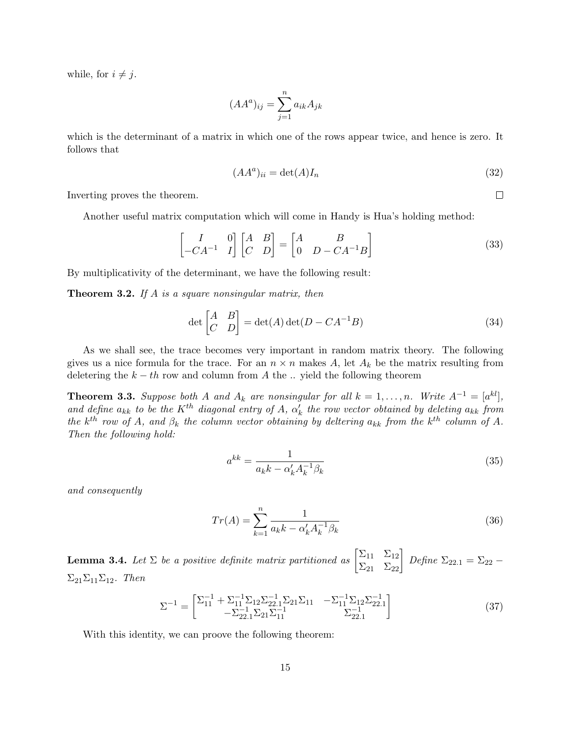while, for  $i \neq j$ .

$$
(AA^a)_{ij} = \sum_{j=1}^n a_{ik} A_{jk}
$$

which is the determinant of a matrix in which one of the rows appear twice, and hence is zero. It follows that

$$
(AAa)ii = \det(A)In
$$
\n(32)

 $\Box$ 

Inverting proves the theorem.

Another useful matrix computation which will come in Handy is Hua's holding method:

$$
\begin{bmatrix} I & 0 \ -CA^{-1} & I \end{bmatrix} \begin{bmatrix} A & B \ C & D \end{bmatrix} = \begin{bmatrix} A & B \ 0 & D - CA^{-1}B \end{bmatrix}
$$
 (33)

By multiplicativity of the determinant, we have the following result:

**Theorem 3.2.** If A is a square nonsingular matrix, then

$$
\det\begin{bmatrix} A & B \\ C & D \end{bmatrix} = \det(A)\det(D - CA^{-1}B) \tag{34}
$$

As we shall see, the trace becomes very important in random matrix theory. The following gives us a nice formula for the trace. For an  $n \times n$  makes A, let  $A_k$  be the matrix resulting from deletering the  $k - th$  row and column from A the ... yield the following theorem

**Theorem 3.3.** Suppose both A and  $A_k$  are nonsingular for all  $k = 1, ..., n$ . Write  $A^{-1} = [a^{kl}]$ , and define  $a_{kk}$  to be the K<sup>th</sup> diagonal entry of A,  $\alpha'_{k}$  the row vector obtained by deleting  $a_{kk}$  from the k<sup>th</sup> row of A, and  $\beta_k$  the column vector obtaining by deltering  $a_{kk}$  from the k<sup>th</sup> column of A. Then the following hold:

$$
a^{kk} = \frac{1}{a_k k - \alpha'_k A_k^{-1} \beta_k} \tag{35}
$$

and consequently

$$
Tr(A) = \sum_{k=1}^{n} \frac{1}{a_k k - \alpha'_k A_k^{-1} \beta_k}
$$
(36)

**Lemma 3.4.** Let  $\Sigma$  be a positive definite matrix partitioned as  $\begin{bmatrix} \Sigma_{11} & \Sigma_{12} \\ \Sigma_{21} & \Sigma_{22} \end{bmatrix}$  Define  $\Sigma_{22.1} = \Sigma_{22} \Sigma_{21}\Sigma_{11}\Sigma_{12}$ . Then

$$
\Sigma^{-1} = \begin{bmatrix} \Sigma_{11}^{-1} + \Sigma_{11}^{-1} \Sigma_{12} \Sigma_{22.1}^{-1} \Sigma_{21} \Sigma_{11} & -\Sigma_{11}^{-1} \Sigma_{12} \Sigma_{22.1}^{-1} \\ -\Sigma_{22.1}^{-1} \Sigma_{21} \Sigma_{11}^{-1} & \Sigma_{22.1}^{-1} \end{bmatrix}
$$
(37)

With this identity, we can proove the following theorem: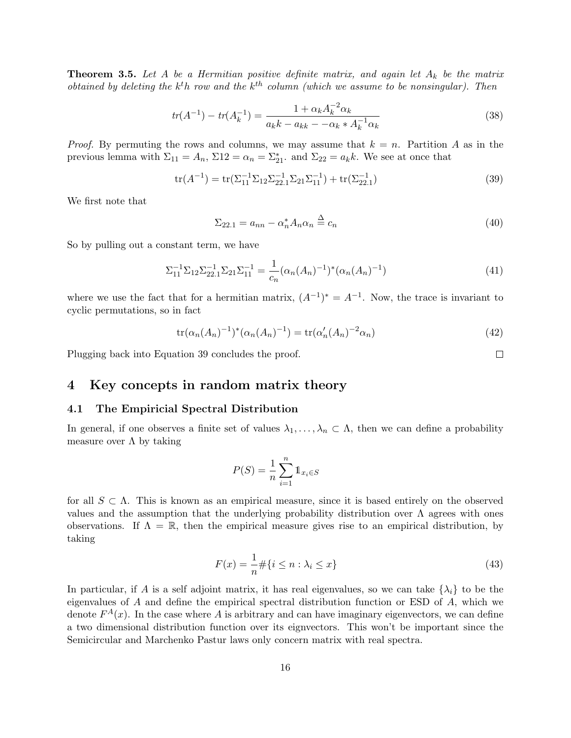**Theorem 3.5.** Let A be a Hermitian positive definite matrix, and again let  $A_k$  be the matrix obtained by deleting the  $k^th$  row and the  $k^{th}$  column (which we assume to be nonsingular). Then

$$
tr(A^{-1}) - tr(A_k^{-1}) = \frac{1 + \alpha_k A_k^{-2} \alpha_k}{a_k k - a_{kk} - \alpha_k A_k^{-1} \alpha_k} \tag{38}
$$

*Proof.* By permuting the rows and columns, we may assume that  $k = n$ . Partition A as in the previous lemma with  $\Sigma_{11} = A_n$ ,  $\Sigma_{12} = \alpha_n = \Sigma_{21}^*$  and  $\Sigma_{22} = a_k k$ . We see at once that

$$
tr(A^{-1}) = tr(\Sigma_{11}^{-1} \Sigma_{12} \Sigma_{22.1}^{-1} \Sigma_{21} \Sigma_{11}^{-1}) + tr(\Sigma_{22.1}^{-1})
$$
\n(39)

We first note that

$$
\Sigma_{22.1} = a_{nn} - \alpha_n^* A_n \alpha_n \stackrel{\Delta}{=} c_n \tag{40}
$$

So by pulling out a constant term, we have

$$
\Sigma_{11}^{-1} \Sigma_{12} \Sigma_{22.1}^{-1} \Sigma_{21} \Sigma_{11}^{-1} = \frac{1}{c_n} (\alpha_n (A_n)^{-1})^* (\alpha_n (A_n)^{-1})
$$
\n(41)

where we use the fact that for a hermitian matrix,  $(A^{-1})^* = A^{-1}$ . Now, the trace is invariant to cyclic permutations, so in fact

$$
\operatorname{tr}(\alpha_n(A_n)^{-1})^*(\alpha_n(A_n)^{-1}) = \operatorname{tr}(\alpha'_n(A_n)^{-2}\alpha_n) \tag{42}
$$

Plugging back into Equation 39 concludes the proof.

### 4 Key concepts in random matrix theory

#### 4.1 The Empiricial Spectral Distribution

In general, if one observes a finite set of values  $\lambda_1, \ldots, \lambda_n \subset \Lambda$ , then we can define a probability measure over  $\Lambda$  by taking

$$
P(S) = \frac{1}{n} \sum_{i=1}^{n} \mathbb{1}_{x_i \in S}
$$

for all  $S \subset \Lambda$ . This is known as an empirical measure, since it is based entirely on the observed values and the assumption that the underlying probability distribution over  $\Lambda$  agrees with ones observations. If  $\Lambda = \mathbb{R}$ , then the empirical measure gives rise to an empirical distribution, by taking

$$
F(x) = \frac{1}{n} \# \{ i \le n : \lambda_i \le x \}
$$
\n
$$
(43)
$$

In particular, if A is a self adjoint matrix, it has real eigenvalues, so we can take  $\{\lambda_i\}$  to be the eigenvalues of A and define the empirical spectral distribution function or ESD of A, which we denote  $F^{A}(x)$ . In the case where A is arbitrary and can have imaginary eigenvectors, we can define a two dimensional distribution function over its eignvectors. This won't be important since the Semicircular and Marchenko Pastur laws only concern matrix with real spectra.

 $\Box$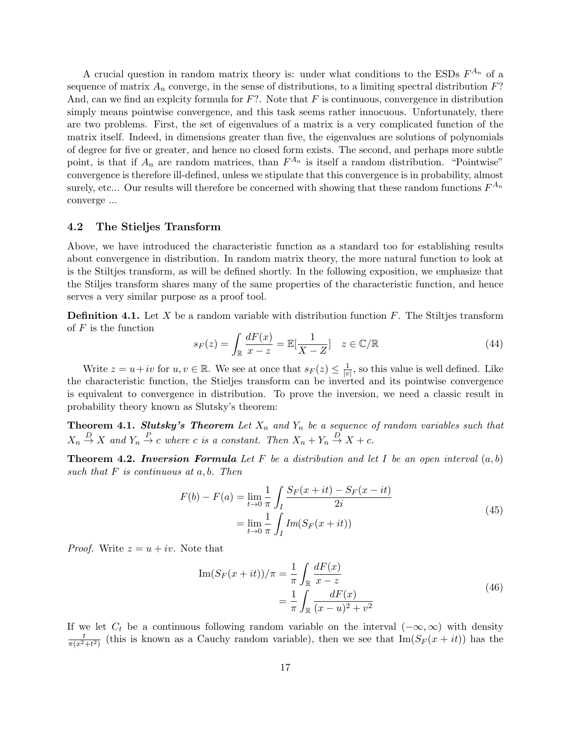A crucial question in random matrix theory is: under what conditions to the ESDs  $F^{A_n}$  of a sequence of matrix  $A_n$  converge, in the sense of distributions, to a limiting spectral distribution  $F$ ? And, can we find an explcity formula for  $F$ ?. Note that  $F$  is continuous, convergence in distribution simply means pointwise convergence, and this task seems rather innocuous. Unfortunately, there are two problems. First, the set of eigenvalues of a matrix is a very complicated function of the matrix itself. Indeed, in dimensions greater than five, the eigenvalues are solutions of polynomials of degree for five or greater, and hence no closed form exists. The second, and perhaps more subtle point, is that if  $A_n$  are random matrices, than  $F^{A_n}$  is itself a random distribution. "Pointwise" convergence is therefore ill-defined, unless we stipulate that this convergence is in probability, almost surely, etc... Our results will therefore be concerned with showing that these random functions  $F^{A_n}$ converge ...

### 4.2 The Stieljes Transform

Above, we have introduced the characteristic function as a standard too for establishing results about convergence in distribution. In random matrix theory, the more natural function to look at is the Stiltjes transform, as will be defined shortly. In the following exposition, we emphasize that the Stiljes transform shares many of the same properties of the characteristic function, and hence serves a very similar purpose as a proof tool.

**Definition 4.1.** Let X be a random variable with distribution function  $F$ . The Stiltjes transform of  $F$  is the function

$$
s_F(z) = \int_{\mathbb{R}} \frac{dF(x)}{x - z} = \mathbb{E}[\frac{1}{X - Z}] \quad z \in \mathbb{C}/\mathbb{R}
$$
 (44)

Write  $z = u + iv$  for  $u, v \in \mathbb{R}$ . We see at once that  $s_F(z) \leq \frac{1}{|v|}$  $\frac{1}{|v|}$ , so this value is well defined. Like the characteristic function, the Stieljes transform can be inverted and its pointwise convergence is equivalent to convergence in distribution. To prove the inversion, we need a classic result in probability theory known as Slutsky's theorem:

**Theorem 4.1. Slutsky's Theorem** Let  $X_n$  and  $Y_n$  be a sequence of random variables such that  $X_n \stackrel{D}{\to} X$  and  $Y_n \stackrel{P}{\to} c$  where c is a constant. Then  $X_n + Y_n \stackrel{D}{\to} X + c$ .

**Theorem 4.2. Inversion Formula** Let F be a distribution and let I be an open interval  $(a, b)$ such that  $F$  is continuous at  $a, b$ . Then

$$
F(b) - F(a) = \lim_{t \to 0} \frac{1}{\pi} \int_{I} \frac{S_F(x + it) - S_F(x - it)}{2i}
$$
  
= 
$$
\lim_{t \to 0} \frac{1}{\pi} \int_{I} Im(S_F(x + it))
$$
 (45)

*Proof.* Write  $z = u + iv$ . Note that

Im
$$
(S_F(x + it))/\pi = \frac{1}{\pi} \int_{\mathbb{R}} \frac{dF(x)}{x - z}
$$
  
=  $\frac{1}{\pi} \int_{\mathbb{R}} \frac{dF(x)}{(x - u)^2 + v^2}$  (46)

If we let  $C_t$  be a continuous following random variable on the interval  $(-\infty, \infty)$  with density  $\frac{t}{\pi(x^2+t^2)}$  (this is known as a Cauchy random variable), then we see that  $\text{Im}(S_F(x+it))$  has the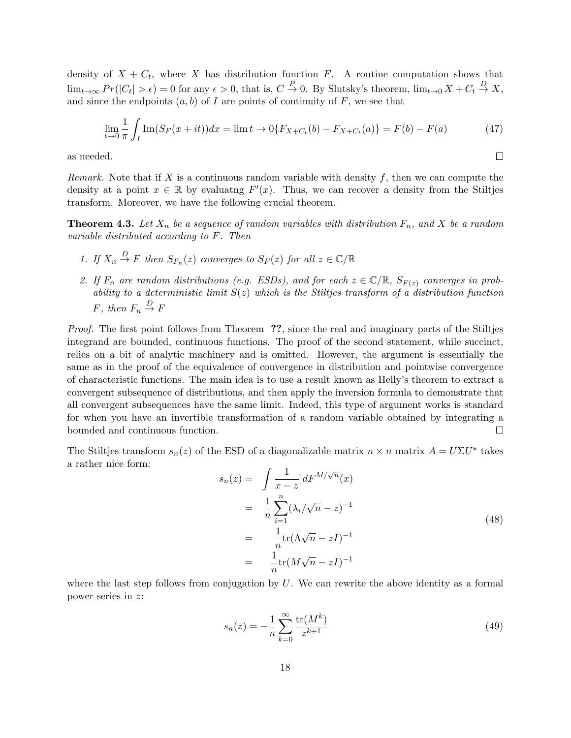density of  $X + C_t$ , where X has distribution function F. A routine computation shows that  $\lim_{t\to\infty} Pr(|C_t| > \epsilon) = 0$  for any  $\epsilon > 0$ , that is,  $C \stackrel{P}{\to} 0$ . By Slutsky's theorem,  $\lim_{t\to 0} X + C_t \stackrel{D}{\to} X$ , and since the endpoints  $(a, b)$  of I are points of continuity of F, we see that

$$
\lim_{t \to 0} \frac{1}{\pi} \int_{I} \text{Im}(S_F(x+it)) dx = \lim_{t \to 0} \{ F_{X+C_t}(b) - F_{X+C_t}(a) \} = F(b) - F(a)
$$
 (47)

 $\Box$ 

as needed.

Remark. Note that if X is a continuous random variable with density f, then we can compute the density at a point  $x \in \mathbb{R}$  by evaluating  $F'(x)$ . Thus, we can recover a density from the Stiltjes transform. Moreover, we have the following crucial theorem.

**Theorem 4.3.** Let  $X_n$  be a sequence of random variables with distribution  $F_n$ , and X be a random variable distributed according to F. Then

- 1. If  $X_n \stackrel{D}{\to} F$  then  $S_{F_n}(z)$  converges to  $S_F(z)$  for all  $z \in \mathbb{C}/\mathbb{R}$
- 2. If  $F_n$  are random distributions (e.g. ESDs), and for each  $z \in \mathbb{C}/\mathbb{R}$ ,  $S_{F(z)}$  converges in probability to a deterministic limit  $S(z)$  which is the Stiltjes transform of a distribution function F, then  $F_n \stackrel{D}{\rightarrow} F$

Proof. The first point follows from Theorem ??, since the real and imaginary parts of the Stiltjes integrand are bounded, continuous functions. The proof of the second statement, while succinct, relies on a bit of analytic machinery and is omitted. However, the argument is essentially the same as in the proof of the equivalence of convergence in distribution and pointwise convergence of characteristic functions. The main idea is to use a result known as Helly's theorem to extract a convergent subsequence of distributions, and then apply the inversion formula to demonstrate that all convergent subsequences have the same limit. Indeed, this type of argument works is standard for when you have an invertible transformation of a random variable obtained by integrating a bounded and continuous function.  $\Box$ 

The Stiltjes transform  $s_n(z)$  of the ESD of a diagonalizable matrix  $n \times n$  matrix  $A = U \Sigma U^*$  takes a rather nice form:

$$
s_n(z) = \int \frac{1}{x - z} dF^{M/\sqrt{n}}(x)
$$
  
= 
$$
\frac{1}{n} \sum_{i=1}^n (\lambda_i/\sqrt{n} - z)^{-1}
$$
  
= 
$$
\frac{1}{n} \text{tr}(\Lambda \sqrt{n} - zI)^{-1}
$$
  
= 
$$
\frac{1}{n} \text{tr}(M\sqrt{n} - zI)^{-1}
$$
 (48)

where the last step follows from conjugation by  $U$ . We can rewrite the above identity as a formal power series in z:

$$
s_n(z) = -\frac{1}{n} \sum_{k=0}^{\infty} \frac{\text{tr}(M^k)}{z^{k+1}}
$$
(49)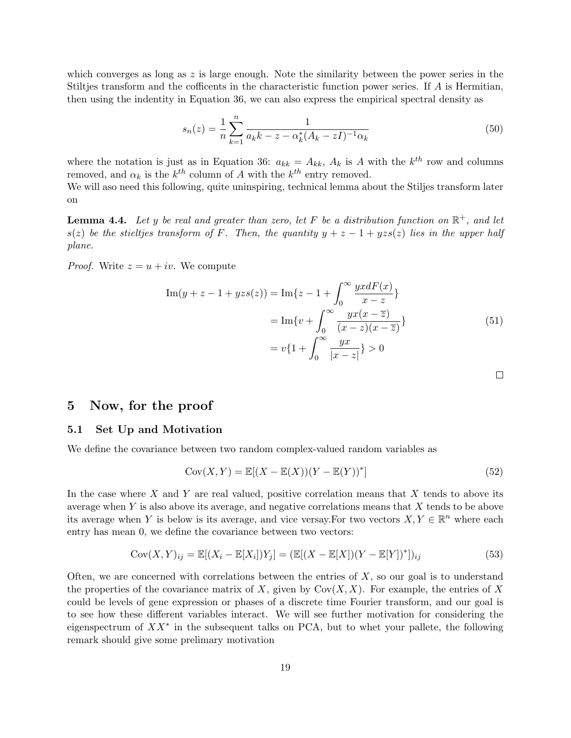which converges as long as  $z$  is large enough. Note the similarity between the power series in the Stiltjes transform and the cofficents in the characteristic function power series. If A is Hermitian, then using the indentity in Equation 36, we can also express the empirical spectral density as

$$
s_n(z) = \frac{1}{n} \sum_{k=1}^n \frac{1}{a_k k - z - \alpha_k^*(A_k - zI)^{-1} \alpha_k} \tag{50}
$$

where the notation is just as in Equation 36:  $a_{kk} = A_{kk}$ ,  $A_k$  is A with the  $k^{th}$  row and columns removed, and  $\alpha_k$  is the  $k^{th}$  column of A with the  $k^{th}$  entry removed.

We will aso need this following, quite uninspiring, technical lemma about the Stiljes transform later on

**Lemma 4.4.** Let y be real and greater than zero, let F be a distribution function on  $\mathbb{R}^+$ , and let s(z) be the stieltjes transform of F. Then, the quantity  $y + z - 1 + yzs(z)$  lies in the upper half plane.

*Proof.* Write  $z = u + iv$ . We compute

$$
\text{Im}(y + z - 1 + yzs(z)) = \text{Im}\{z - 1 + \int_0^\infty \frac{yxdF(x)}{x - z}\}
$$
  
= 
$$
\text{Im}\{v + \int_0^\infty \frac{yx(x - \overline{z})}{(x - z)(x - \overline{z})}\}
$$
(51)  
= 
$$
v\{1 + \int_0^\infty \frac{yx}{|x - z|}\} > 0
$$

 $\Box$ 

### 5 Now, for the proof

### 5.1 Set Up and Motivation

We define the covariance between two random complex-valued random variables as

$$
Cov(X, Y) = \mathbb{E}[(X - \mathbb{E}(X))(Y - \mathbb{E}(Y))^*]
$$
\n(52)

In the case where X and Y are real valued, positive correlation means that X tends to above its average when  $Y$  is also above its average, and negative correlations means that  $X$  tends to be above its average when Y is below is its average, and vice versay. For two vectors  $X, Y \in \mathbb{R}^n$  where each entry has mean 0, we define the covariance between two vectors:

$$
Cov(X, Y)_{ij} = \mathbb{E}[(X_i - \mathbb{E}[X_i])Y_j] = (\mathbb{E}[(X - \mathbb{E}[X])(Y - \mathbb{E}[Y])^*])_{ij}
$$
\n(53)

Often, we are concerned with correlations between the entries of  $X$ , so our goal is to understand the properties of the covariance matrix of X, given by  $Cov(X, X)$ . For example, the entries of X could be levels of gene expression or phases of a discrete time Fourier transform, and our goal is to see how these different variables interact. We will see further motivation for considering the eigenspectrum of  $XX^*$  in the subsequent talks on PCA, but to whet your pallete, the following remark should give some prelimary motivation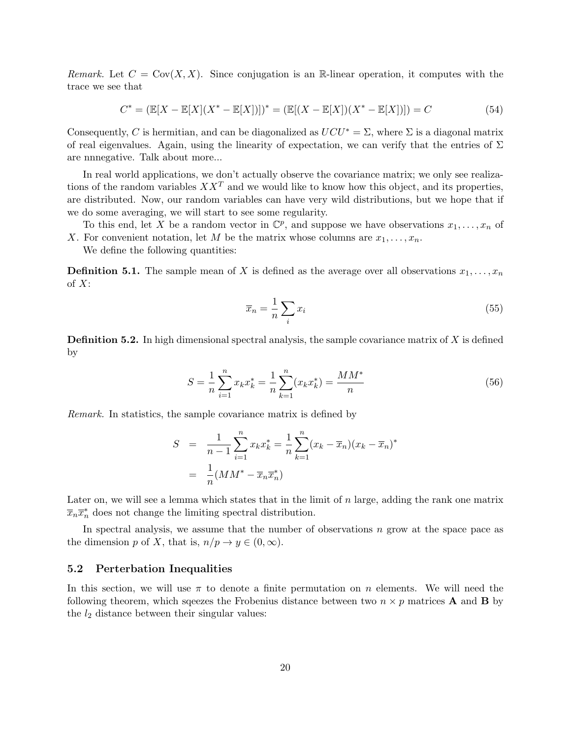Remark. Let  $C = Cov(X, X)$ . Since conjugation is an R-linear operation, it computes with the trace we see that

$$
C^* = (\mathbb{E}[X - \mathbb{E}[X](X^* - \mathbb{E}[X])])^* = (\mathbb{E}[(X - \mathbb{E}[X])(X^* - \mathbb{E}[X])]) = C
$$
\n(54)

Consequently, C is hermitian, and can be diagonalized as  $UCU^* = \Sigma$ , where  $\Sigma$  is a diagonal matrix of real eigenvalues. Again, using the linearity of expectation, we can verify that the entries of  $\Sigma$ are nnnegative. Talk about more...

In real world applications, we don't actually observe the covariance matrix; we only see realizations of the random variables  $XX<sup>T</sup>$  and we would like to know how this object, and its properties, are distributed. Now, our random variables can have very wild distributions, but we hope that if we do some averaging, we will start to see some regularity.

To this end, let X be a random vector in  $\mathbb{C}^p$ , and suppose we have observations  $x_1, \ldots, x_n$  of X. For convenient notation, let M be the matrix whose columns are  $x_1, \ldots, x_n$ .

We define the following quantities:

**Definition 5.1.** The sample mean of X is defined as the average over all observations  $x_1, \ldots, x_n$ of  $X$ :

$$
\overline{x}_n = \frac{1}{n} \sum_i x_i \tag{55}
$$

**Definition 5.2.** In high dimensional spectral analysis, the sample covariance matrix of  $X$  is defined by

$$
S = \frac{1}{n} \sum_{i=1}^{n} x_k x_k^* = \frac{1}{n} \sum_{k=1}^{n} (x_k x_k^*) = \frac{MM^*}{n}
$$
 (56)

Remark. In statistics, the sample covariance matrix is defined by

$$
S = \frac{1}{n-1} \sum_{i=1}^{n} x_k x_k^* = \frac{1}{n} \sum_{k=1}^{n} (x_k - \overline{x}_n)(x_k - \overline{x}_n)^*
$$

$$
= \frac{1}{n} (MM^* - \overline{x}_n \overline{x}_n^*)
$$

Later on, we will see a lemma which states that in the limit of  $n$  large, adding the rank one matrix  $\overline{x}_n \overline{x}_n^*$  does not change the limiting spectral distribution.

In spectral analysis, we assume that the number of observations  $n$  grow at the space pace as the dimension p of X, that is,  $n/p \to y \in (0,\infty)$ .

#### 5.2 Perterbation Inequalities

In this section, we will use  $\pi$  to denote a finite permutation on n elements. We will need the following theorem, which squeezes the Frobenius distance between two  $n \times p$  matrices **A** and **B** by the  $l_2$  distance between their singular values: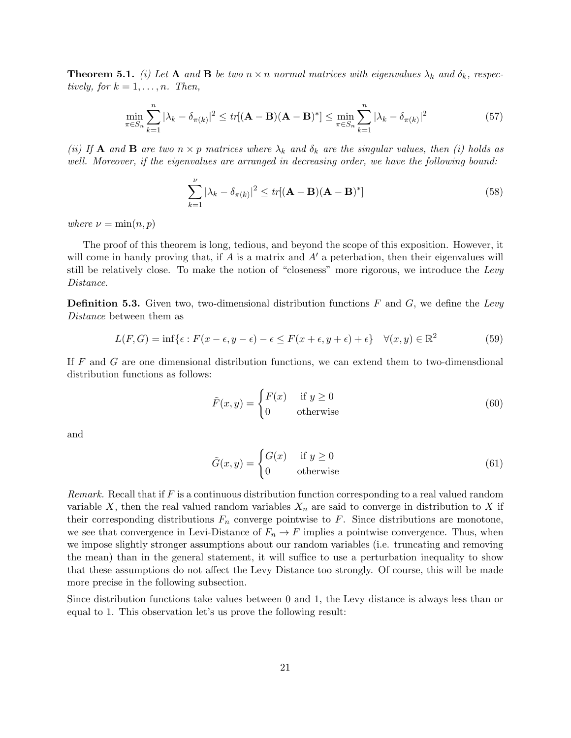**Theorem 5.1.** (i) Let A and B be two  $n \times n$  normal matrices with eigenvalues  $\lambda_k$  and  $\delta_k$ , respectively, for  $k = 1, \ldots, n$ . Then,

$$
\min_{\pi \in S_n} \sum_{k=1}^n |\lambda_k - \delta_{\pi(k)}|^2 \le tr[(\mathbf{A} - \mathbf{B})(\mathbf{A} - \mathbf{B})^*] \le \min_{\pi \in S_n} \sum_{k=1}^n |\lambda_k - \delta_{\pi(k)}|^2
$$
\n(57)

(ii) If **A** and **B** are two  $n \times p$  matrices where  $\lambda_k$  and  $\delta_k$  are the singular values, then (i) holds as well. Moreover, if the eigenvalues are arranged in decreasing order, we have the following bound:

$$
\sum_{k=1}^{\nu} |\lambda_k - \delta_{\pi(k)}|^2 \le tr[(\mathbf{A} - \mathbf{B})(\mathbf{A} - \mathbf{B})^*]
$$
\n(58)

where  $\nu = \min(n, p)$ 

The proof of this theorem is long, tedious, and beyond the scope of this exposition. However, it will come in handy proving that, if A is a matrix and  $A'$  a peterbation, then their eigenvalues will still be relatively close. To make the notion of "closeness" more rigorous, we introduce the Levy Distance.

**Definition 5.3.** Given two, two-dimensional distribution functions  $F$  and  $G$ , we define the Levy Distance between them as

$$
L(F, G) = \inf \{ \epsilon : F(x - \epsilon, y - \epsilon) - \epsilon \le F(x + \epsilon, y + \epsilon) + \epsilon \} \quad \forall (x, y) \in \mathbb{R}^2
$$
 (59)

If F and G are one dimensional distribution functions, we can extend them to two-dimensdional distribution functions as follows:

$$
\tilde{F}(x,y) = \begin{cases}\nF(x) & \text{if } y \ge 0 \\
0 & \text{otherwise}\n\end{cases}
$$
\n(60)

and

$$
\tilde{G}(x,y) = \begin{cases}\nG(x) & \text{if } y \ge 0 \\
0 & \text{otherwise}\n\end{cases}
$$
\n(61)

Remark. Recall that if F is a continuous distribution function corresponding to a real valued random variable X, then the real valued random variables  $X_n$  are said to converge in distribution to X if their corresponding distributions  $F_n$  converge pointwise to F. Since distributions are monotone, we see that convergence in Levi-Distance of  $F_n \to F$  implies a pointwise convergence. Thus, when we impose slightly stronger assumptions about our random variables (i.e. truncating and removing the mean) than in the general statement, it will suffice to use a perturbation inequality to show that these assumptions do not affect the Levy Distance too strongly. Of course, this will be made more precise in the following subsection.

Since distribution functions take values between 0 and 1, the Levy distance is always less than or equal to 1. This observation let's us prove the following result: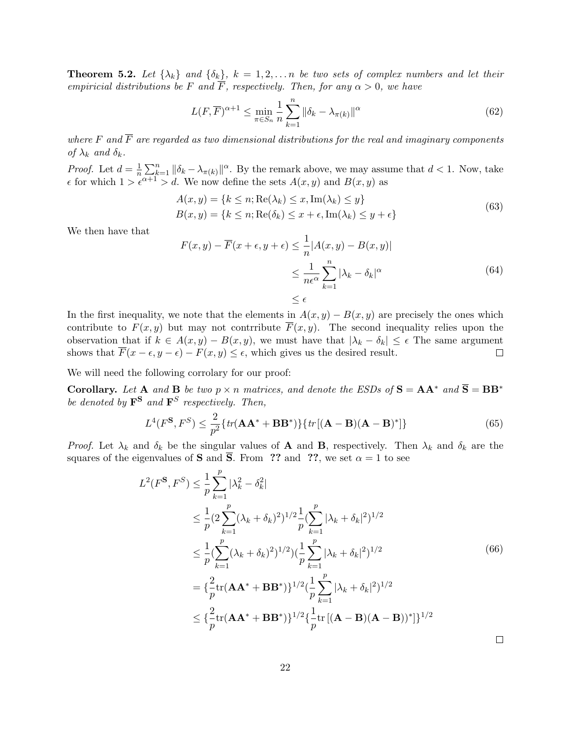**Theorem 5.2.** Let  $\{\lambda_k\}$  and  $\{\delta_k\}$ ,  $k = 1, 2, \ldots n$  be two sets of complex numbers and let their empiricial distributions be F and  $\overline{F}$ , respectively. Then, for any  $\alpha > 0$ , we have

$$
L(F,\overline{F})^{\alpha+1} \le \min_{\pi \in S_n} \frac{1}{n} \sum_{k=1}^n \|\delta_k - \lambda_{\pi(k)}\|^{\alpha} \tag{62}
$$

where F and  $\overline{F}$  are regarded as two dimensional distributions for the real and imaginary components of  $\lambda_k$  and  $\delta_k$ .

*Proof.* Let  $d = \frac{1}{n}$  $\frac{1}{n}\sum_{k=1}^{n} \|\delta_k - \lambda_{\pi(k)}\|^{\alpha}$ . By the remark above, we may assume that  $d < 1$ . Now, take  $\epsilon$  for which  $1 > \epsilon^{\alpha+1} > d$ . We now define the sets  $A(x, y)$  and  $B(x, y)$  as

$$
A(x, y) = \{k \le n; \text{Re}(\lambda_k) \le x, \text{Im}(\lambda_k) \le y\}
$$
  
\n
$$
B(x, y) = \{k \le n; \text{Re}(\delta_k) \le x + \epsilon, \text{Im}(\lambda_k) \le y + \epsilon\}
$$
\n(63)

We then have that

$$
F(x,y) - \overline{F}(x+\epsilon, y+\epsilon) \le \frac{1}{n} |A(x,y) - B(x,y)|
$$
  

$$
\le \frac{1}{n\epsilon^{\alpha}} \sum_{k=1}^{n} |\lambda_k - \delta_k|^{\alpha}
$$
(64)  

$$
\le \epsilon
$$

In the first inequality, we note that the elements in  $A(x, y) - B(x, y)$  are precisely the ones which contribute to  $F(x, y)$  but may not contrribute  $\overline{F}(x, y)$ . The second inequality relies upon the observation that if  $k \in A(x, y) - B(x, y)$ , we must have that  $|\lambda_k - \delta_k| \leq \epsilon$  The same argument shows that  $\overline{F}(x - \epsilon, y - \epsilon) - F(x, y) \leq \epsilon$ , which gives us the desired result.  $\Box$ 

We will need the following corrolary for our proof:

Corollary. Let A and B be two  $p \times n$  matrices, and denote the ESDs of  $S = AA^*$  and  $\overline{S} = BB^*$ be denoted by  $\mathbf{F}^{\mathbf{S}}$  and  $\mathbf{F}^{S}$  respectively. Then,

$$
L^{4}(F^{\mathbf{S}}, F^{S}) \leq \frac{2}{p^{2}} \{ tr(\mathbf{A}\mathbf{A}^{*} + \mathbf{B}\mathbf{B}^{*}) \} \{ tr[(\mathbf{A} - \mathbf{B})(\mathbf{A} - \mathbf{B})^{*} ] \}
$$
(65)

*Proof.* Let  $\lambda_k$  and  $\delta_k$  be the singular values of **A** and **B**, respectively. Then  $\lambda_k$  and  $\delta_k$  are the squares of the eigenvalues of **S** and  $\overline{S}$ . From ?? and ??, we set  $\alpha = 1$  to see

$$
L^{2}(F^{\mathbf{S}}, F^{S}) \leq \frac{1}{p} \sum_{k=1}^{p} |\lambda_{k}^{2} - \delta_{k}^{2}|
$$
  
\n
$$
\leq \frac{1}{p} (2 \sum_{k=1}^{p} (\lambda_{k} + \delta_{k})^{2})^{1/2} \frac{1}{p} (\sum_{k=1}^{p} |\lambda_{k} + \delta_{k}|^{2})^{1/2}
$$
  
\n
$$
\leq \frac{1}{p} (\sum_{k=1}^{p} (\lambda_{k} + \delta_{k})^{2})^{1/2}) (\frac{1}{p} \sum_{k=1}^{p} |\lambda_{k} + \delta_{k}|^{2})^{1/2}
$$
  
\n
$$
= {\frac{2}{p} tr(\mathbf{A} \mathbf{A}^{*} + \mathbf{B} \mathbf{B}^{*})}^{1/2} (\frac{1}{p} \sum_{k=1}^{p} |\lambda_{k} + \delta_{k}|^{2})^{1/2}
$$
  
\n
$$
\leq {\frac{2}{p} tr(\mathbf{A} \mathbf{A}^{*} + \mathbf{B} \mathbf{B}^{*})}^{1/2} {\frac{1}{p} tr[(\mathbf{A} - \mathbf{B})(\mathbf{A} - \mathbf{B})^{*}]^{1/2}}
$$

Ц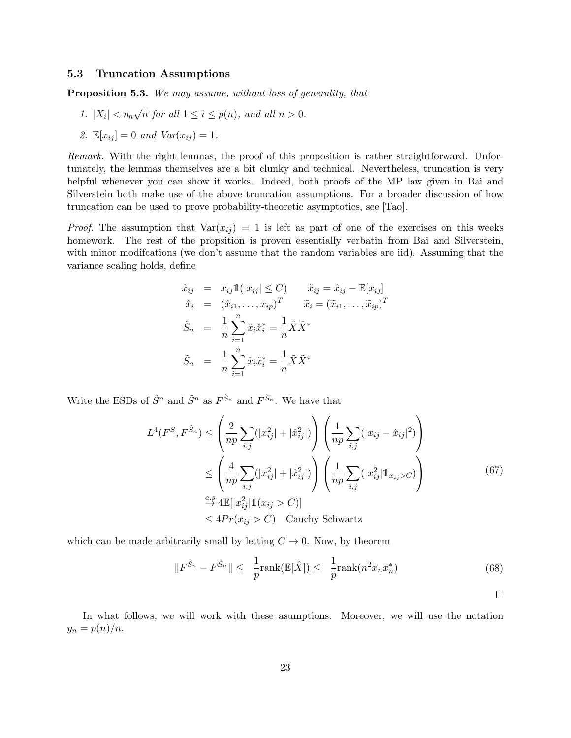### 5.3 Truncation Assumptions

Proposition 5.3. We may assume, without loss of generality, that

- 1.  $|X_i| < \eta_n \sqrt{n}$  for all  $1 \leq i \leq p(n)$ , and all  $n > 0$ .
- 2.  $\mathbb{E}[x_{ij}] = 0$  and  $Var(x_{ij}) = 1$ .

Remark. With the right lemmas, the proof of this proposition is rather straightforward. Unfortunately, the lemmas themselves are a bit clunky and technical. Nevertheless, truncation is very helpful whenever you can show it works. Indeed, both proofs of the MP law given in Bai and Silverstein both make use of the above truncation assumptions. For a broader discussion of how truncation can be used to prove probability-theoretic asymptotics, see [Tao].

*Proof.* The assumption that  $Var(x_{ij}) = 1$  is left as part of one of the exercises on this weeks homework. The rest of the propsition is proven essentially verbatin from Bai and Silverstein, with minor modifications (we don't assume that the random variables are iid). Assuming that the variance scaling holds, define

$$
\hat{x}_{ij} = x_{ij} \mathbb{1}(|x_{ij}| \leq C) \qquad \tilde{x}_{ij} = \hat{x}_{ij} - \mathbb{E}[x_{ij}]
$$
\n
$$
\hat{x}_i = (\hat{x}_{i1}, \dots, x_{ip})^T \qquad \tilde{x}_i = (\tilde{x}_{i1}, \dots, \tilde{x}_{ip})^T
$$
\n
$$
\hat{S}_n = \frac{1}{n} \sum_{i=1}^n \hat{x}_i \hat{x}_i^* = \frac{1}{n} \hat{X} \hat{X}^*
$$
\n
$$
\tilde{S}_n = \frac{1}{n} \sum_{i=1}^n \tilde{x}_i \tilde{x}_i^* = \frac{1}{n} \tilde{X} \tilde{X}^*
$$

Write the ESDs of  $\hat{S}^n$  and  $\tilde{S}^n$  as  $F^{\hat{S}_n}$  and  $F^{\tilde{S}_n}$ . We have that

$$
L^{4}(F^{S}, F^{\hat{S}_{n}}) \leq \left(\frac{2}{np} \sum_{i,j} (|x_{ij}^{2}| + |\hat{x}_{ij}^{2}|) \right) \left(\frac{1}{np} \sum_{i,j} (|x_{ij} - \hat{x}_{ij}|^{2}) \right)
$$
  
\n
$$
\leq \left(\frac{4}{np} \sum_{i,j} (|x_{ij}^{2}| + |\hat{x}_{ij}^{2}|) \right) \left(\frac{1}{np} \sum_{i,j} (|x_{ij}^{2}| \mathbb{1}_{x_{ij}>C}) \right)
$$
  
\n
$$
\stackrel{a.s}{\rightarrow} 4\mathbb{E}[|x_{ij}^{2}| \mathbb{1}_{x_{ij}>C}]
$$
  
\n
$$
\leq 4Pr(x_{ij}>C) \quad \text{Cauchy Schwartz}
$$

which can be made arbitrarily small by letting  $C \rightarrow 0$ . Now, by theorem

$$
||F^{\hat{S}_n} - F^{\tilde{S}_n}|| \leq \frac{1}{p} \text{rank}(\mathbb{E}[\hat{X}]) \leq \frac{1}{p} \text{rank}(n^2 \overline{x}_n \overline{x}_n^*)
$$
(68)

In what follows, we will work with these asumptions. Moreover, we will use the notation  $y_n = p(n)/n$ .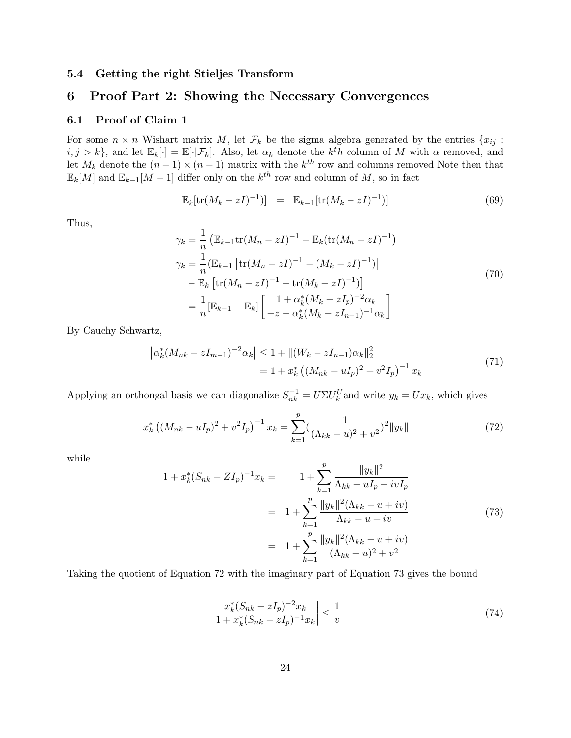### 5.4 Getting the right Stieljes Transform

## 6 Proof Part 2: Showing the Necessary Convergences

### 6.1 Proof of Claim 1

For some  $n \times n$  Wishart matrix M, let  $\mathcal{F}_k$  be the sigma algebra generated by the entries  $\{x_{ij} :$  $i, j > k$ , and let  $\mathbb{E}_k[\cdot] = \mathbb{E}[\cdot | \mathcal{F}_k]$ . Also, let  $\alpha_k$  denote the  $k^t h$  column of M with  $\alpha$  removed, and let  $M_k$  denote the  $(n-1) \times (n-1)$  matrix with the  $k^{th}$  row and columns removed Note then that  $\mathbb{E}_k[M]$  and  $\mathbb{E}_{k-1}[M-1]$  differ only on the  $k^{th}$  row and column of M, so in fact

$$
\mathbb{E}_k[\text{tr}(M_k - zI)^{-1})] = \mathbb{E}_{k-1}[\text{tr}(M_k - zI)^{-1})] \tag{69}
$$

Thus,

$$
\gamma_k = \frac{1}{n} \left( \mathbb{E}_{k-1} \text{tr}(M_n - zI)^{-1} - \mathbb{E}_k (\text{tr}(M_n - zI)^{-1}) \right)
$$
  
\n
$$
\gamma_k = \frac{1}{n} (\mathbb{E}_{k-1} \left[ \text{tr}(M_n - zI)^{-1} - (M_k - zI)^{-1} \right])
$$
  
\n
$$
- \mathbb{E}_k \left[ \text{tr}(M_n - zI)^{-1} - \text{tr}(M_k - zI)^{-1} \right]
$$
  
\n
$$
= \frac{1}{n} [\mathbb{E}_{k-1} - \mathbb{E}_k] \left[ \frac{1 + \alpha_k^*(M_k - zI_p)^{-2} \alpha_k}{-z - \alpha_k^*(M_k - zI_{n-1})^{-1} \alpha_k} \right]
$$
\n(70)

By Cauchy Schwartz,

$$
\left| \alpha_k^* (M_{nk} - zI_{m-1})^{-2} \alpha_k \right| \le 1 + \|(W_k - zI_{n-1}) \alpha_k\|_2^2
$$
  
=  $1 + x_k^* \left( (M_{nk} - uI_p)^2 + v^2 I_p \right)^{-1} x_k$  (71)

Applying an orthongal basis we can diagonalize  $S_{nk}^{-1} = U \Sigma U_k^U$  and write  $y_k = U x_k$ , which gives

$$
x_k^* \left( (M_{nk} - uI_p)^2 + v^2 I_p \right)^{-1} x_k = \sum_{k=1}^p \left( \frac{1}{(\Lambda_{kk} - u)^2 + v^2} \right)^2 \|y_k\| \tag{72}
$$

while

$$
1 + x_k^*(S_{nk} - ZI_p)^{-1}x_k = 1 + \sum_{k=1}^p \frac{\|y_k\|^2}{\Lambda_{kk} - uI_p - ivI_p}
$$
  
= 
$$
1 + \sum_{k=1}^p \frac{\|y_k\|^2(\Lambda_{kk} - u + iv)}{\Lambda_{kk} - u + iv}
$$
  
= 
$$
1 + \sum_{k=1}^p \frac{\|y_k\|^2(\Lambda_{kk} - u + iv)}{(\Lambda_{kk} - u)^2 + v^2}
$$
(73)

Taking the quotient of Equation 72 with the imaginary part of Equation 73 gives the bound

$$
\left| \frac{x_k^*(S_{nk} - zI_p)^{-2}x_k}{1 + x_k^*(S_{nk} - zI_p)^{-1}x_k} \right| \le \frac{1}{v} \tag{74}
$$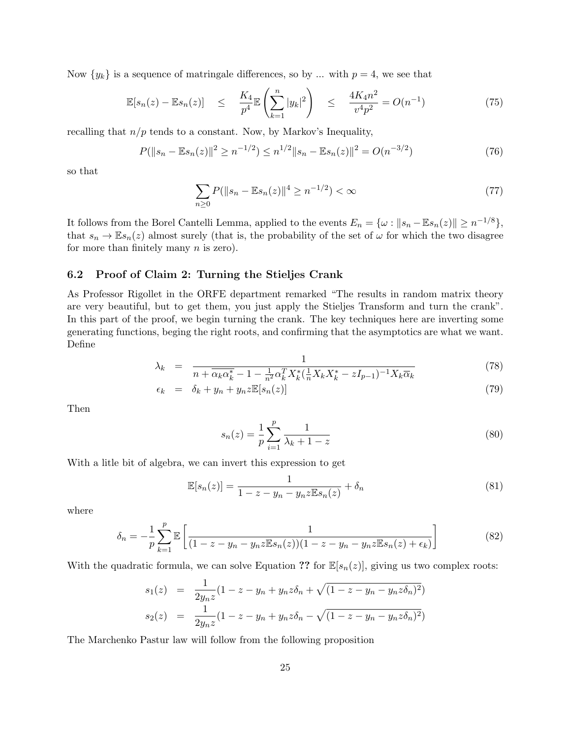Now  $\{y_k\}$  is a sequence of matringale differences, so by ... with  $p = 4$ , we see that

$$
\mathbb{E}[s_n(z) - \mathbb{E}s_n(z)] \le \frac{K_4}{p^4} \mathbb{E}\left(\sum_{k=1}^n |y_k|^2\right) \le \frac{4K_4n^2}{v^4p^2} = O(n^{-1}) \tag{75}
$$

recalling that  $n/p$  tends to a constant. Now, by Markov's Inequality,

$$
P(||s_n - \mathbb{E}s_n(z)||^2 \ge n^{-1/2}) \le n^{1/2} ||s_n - \mathbb{E}s_n(z)||^2 = O(n^{-3/2})
$$
\n(76)

so that

$$
\sum_{n\geq 0} P(||s_n - \mathbb{E}s_n(z)||^4 \geq n^{-1/2}) < \infty \tag{77}
$$

It follows from the Borel Cantelli Lemma, applied to the events  $E_n = \{ \omega : ||s_n - \mathbb{E} s_n(z)|| \geq n^{-1/8} \},$ that  $s_n \to \mathbb{E} s_n(z)$  almost surely (that is, the probability of the set of  $\omega$  for which the two disagree for more than finitely many  $n$  is zero).

### 6.2 Proof of Claim 2: Turning the Stieljes Crank

As Professor Rigollet in the ORFE department remarked "The results in random matrix theory are very beautiful, but to get them, you just apply the Stieljes Transform and turn the crank". In this part of the proof, we begin turning the crank. The key techniques here are inverting some generating functions, beging the right roots, and confirming that the asymptotics are what we want. Define

$$
\lambda_k = \frac{1}{n + \overline{\alpha_k \alpha_k^*} - 1 - \frac{1}{n^2} \alpha_k^T X_k^* (\frac{1}{n} X_k X_k^* - z I_{p-1})^{-1} X_k \overline{\alpha}_k} \tag{78}
$$

$$
\epsilon_k = \delta_k + y_n + y_n z \mathbb{E}[s_n(z)] \tag{79}
$$

Then

$$
s_n(z) = \frac{1}{p} \sum_{i=1}^p \frac{1}{\lambda_k + 1 - z} \tag{80}
$$

With a litle bit of algebra, we can invert this expression to get

$$
\mathbb{E}[s_n(z)] = \frac{1}{1 - z - y_n - y_n z \mathbb{E} s_n(z)} + \delta_n \tag{81}
$$

where

$$
\delta_n = -\frac{1}{p} \sum_{k=1}^p \mathbb{E}\left[\frac{1}{(1-z-y_n-y_n z \mathbb{E} s_n(z))(1-z-y_n-y_n z \mathbb{E} s_n(z)+\epsilon_k)}\right]
$$
(82)

With the quadratic formula, we can solve Equation ?? for  $\mathbb{E}[s_n(z)]$ , giving us two complex roots:

$$
s_1(z) = \frac{1}{2y_n z} (1 - z - y_n + y_n z \delta_n + \sqrt{(1 - z - y_n - y_n z \delta_n)^2})
$$
  
\n
$$
s_2(z) = \frac{1}{2y_n z} (1 - z - y_n + y_n z \delta_n - \sqrt{(1 - z - y_n - y_n z \delta_n)^2})
$$

The Marchenko Pastur law will follow from the following proposition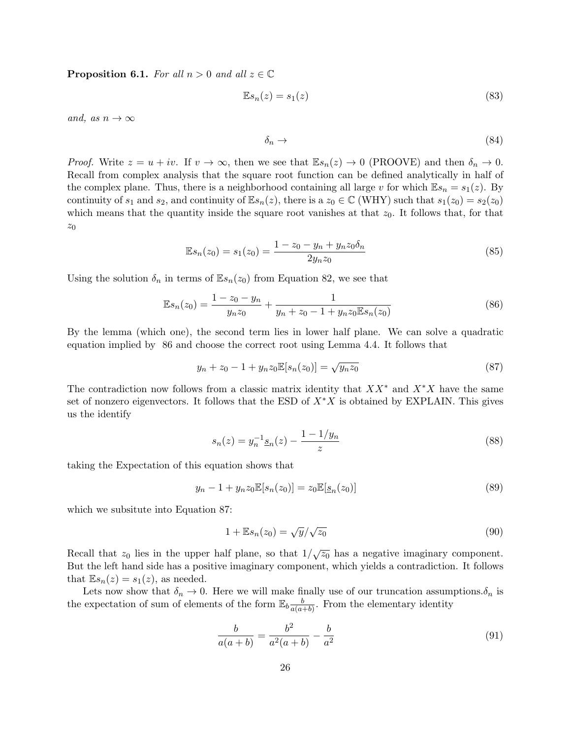**Proposition 6.1.** For all  $n > 0$  and all  $z \in \mathbb{C}$ 

$$
\mathbb{E}s_n(z) = s_1(z) \tag{83}
$$

and, as  $n \to \infty$ 

$$
\delta_n \to \tag{84}
$$

*Proof.* Write  $z = u + iv$ . If  $v \to \infty$ , then we see that  $\mathbb{E} s_n(z) \to 0$  (PROOVE) and then  $\delta_n \to 0$ . Recall from complex analysis that the square root function can be defined analytically in half of the complex plane. Thus, there is a neighborhood containing all large v for which  $\mathbb{E} s_n = s_1(z)$ . By continuity of  $s_1$  and  $s_2$ , and continuity of  $\mathbb{E} s_n(z)$ , there is a  $z_0 \in \mathbb{C}$  (WHY) such that  $s_1(z_0) = s_2(z_0)$ which means that the quantity inside the square root vanishes at that  $z_0$ . It follows that, for that  $z_0$ 

$$
\mathbb{E}s_n(z_0) = s_1(z_0) = \frac{1 - z_0 - y_n + y_n z_0 \delta_n}{2y_n z_0}
$$
\n(85)

Using the solution  $\delta_n$  in terms of  $\mathbb{E} s_n(z_0)$  from Equation 82, we see that

$$
\mathbb{E}s_n(z_0) = \frac{1 - z_0 - y_n}{y_n z_0} + \frac{1}{y_n + z_0 - 1 + y_n z_0 \mathbb{E}s_n(z_0)}
$$
(86)

By the lemma (which one), the second term lies in lower half plane. We can solve a quadratic equation implied by 86 and choose the correct root using Lemma 4.4. It follows that

$$
y_n + z_0 - 1 + y_n z_0 \mathbb{E}[s_n(z_0)] = \sqrt{y_n z_0}
$$
\n(87)

The contradiction now follows from a classic matrix identity that  $XX^*$  and  $X^*X$  have the same set of nonzero eigenvectors. It follows that the ESD of  $X^*X$  is obtained by EXPLAIN. This gives us the identify

$$
s_n(z) = y_n^{-1} \underline{s}_n(z) - \frac{1 - 1/y_n}{z} \tag{88}
$$

taking the Expectation of this equation shows that

$$
y_n - 1 + y_n z_0 \mathbb{E}[s_n(z_0)] = z_0 \mathbb{E}[\underline{s}_n(z_0)]
$$
\n(89)

which we subsitute into Equation 87:

$$
1 + \mathbb{E}s_n(z_0) = \sqrt{\frac{y}{\sqrt{z_0}}}
$$
\n
$$
(90)
$$

Recall that  $z_0$  lies in the upper half plane, so that  $1/\sqrt{z_0}$  has a negative imaginary component. But the left hand side has a positive imaginary component, which yields a contradiction. It follows that  $\mathbb{E} s_n(z) = s_1(z)$ , as needed.

Lets now show that  $\delta_n \to 0$ . Here we will make finally use of our truncation assumptions. $\delta_n$  is the expectation of sum of elements of the form  $\mathbb{E}_b \frac{b}{a(a)}$  $\frac{b}{a(a+b)}$ . From the elementary identity

$$
\frac{b}{a(a+b)} = \frac{b^2}{a^2(a+b)} - \frac{b}{a^2}
$$
\n(91)